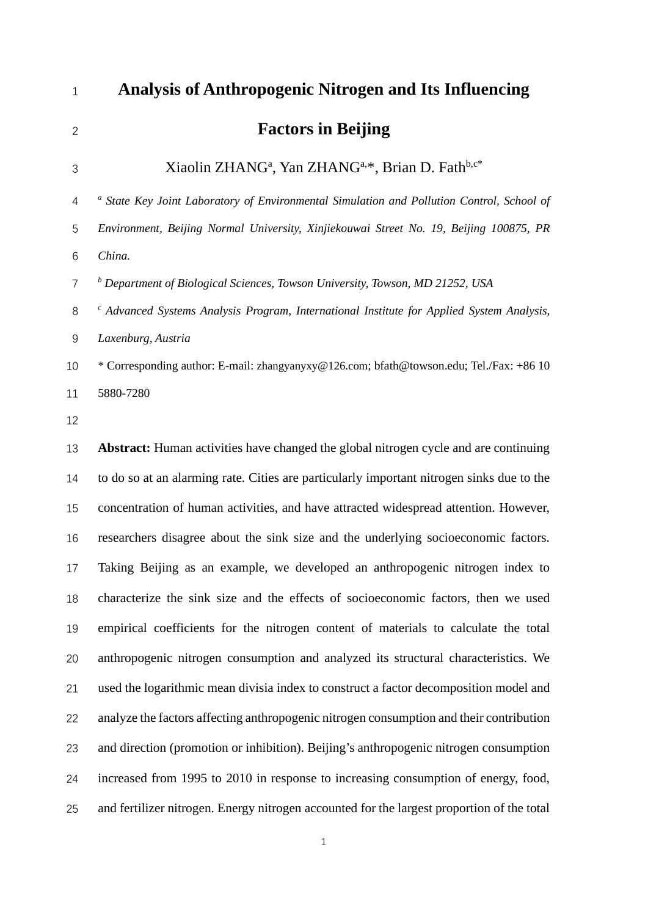# **Analysis of Anthropogenic Nitrogen and Its Influencing Factors in Beijing**

# Xiaolin ZHANGa , Yan ZHANGa,\*, Brian D. Fathb,c\*

*<sup>a</sup> State Key Joint Laboratory of Environmental Simulation and Pollution Control, School of* 

 *Environment, Beijing Normal University, Xinjiekouwai Street No. 19, Beijing 100875, PR China.*

*<sup>b</sup> Department of Biological Sciences, Towson University, Towson, MD 21252, USA* 

*<sup>c</sup> Advanced Systems Analysis Program, International Institute for Applied System Analysis,* 

*Laxenburg, Austria*

 \* Corresponding author: E-mail: [zhangyanyxy@126.com;](mailto:zhangyanyxy@126.com) bfath@towson.edu; Tel./Fax: +86 10 5880-7280

 **Abstract:** Human activities have changed the global nitrogen cycle and are continuing to do so at an alarming rate. Cities are particularly important nitrogen sinks due to the concentration of human activities, and have attracted widespread attention. However, researchers disagree about the sink size and the underlying socioeconomic factors. Taking Beijing as an example, we developed an anthropogenic nitrogen index to characterize the sink size and the effects of socioeconomic factors, then we used empirical coefficients for the nitrogen content of materials to calculate the total anthropogenic nitrogen consumption and analyzed its structural characteristics. We used the logarithmic mean divisia index to construct a factor decomposition model and analyze the factors affecting anthropogenic nitrogen consumption and their contribution and direction (promotion or inhibition). Beijing's anthropogenic nitrogen consumption increased from 1995 to 2010 in response to increasing consumption of energy, food, and fertilizer nitrogen. Energy nitrogen accounted for the largest proportion of the total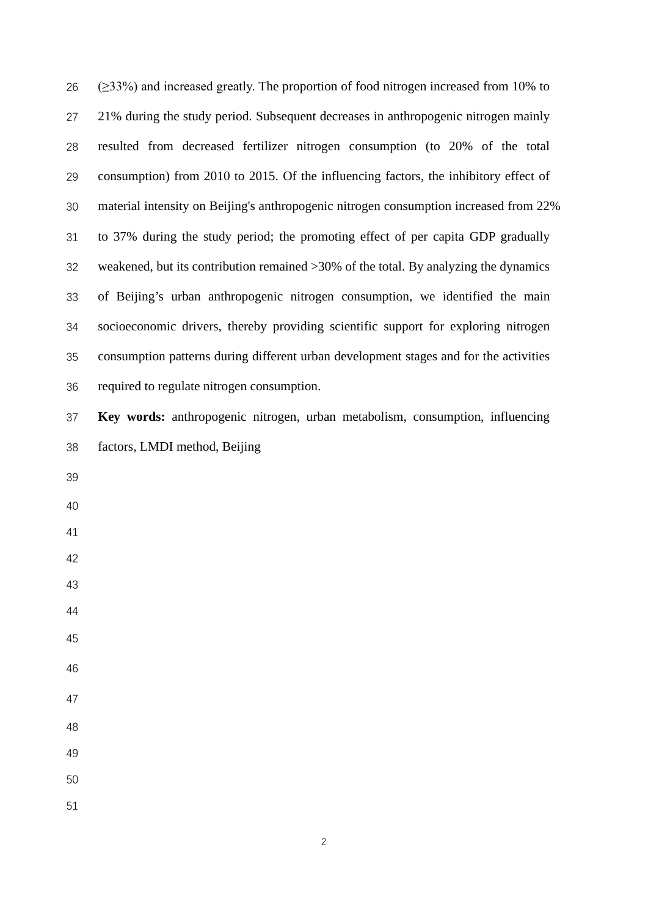| 26 | $(\geq$ 33%) and increased greatly. The proportion of food nitrogen increased from 10% to |
|----|-------------------------------------------------------------------------------------------|
| 27 | 21% during the study period. Subsequent decreases in anthropogenic nitrogen mainly        |
| 28 | resulted from decreased fertilizer nitrogen consumption (to 20% of the total              |
| 29 | consumption) from 2010 to 2015. Of the influencing factors, the inhibitory effect of      |
| 30 | material intensity on Beijing's anthropogenic nitrogen consumption increased from 22%     |
| 31 | to 37% during the study period; the promoting effect of per capita GDP gradually          |
| 32 | weakened, but its contribution remained $>30\%$ of the total. By analyzing the dynamics   |
| 33 | of Beijing's urban anthropogenic nitrogen consumption, we identified the main             |
| 34 | socioeconomic drivers, thereby providing scientific support for exploring nitrogen        |
| 35 | consumption patterns during different urban development stages and for the activities     |
| 36 | required to regulate nitrogen consumption.                                                |
| 37 | Key words: anthropogenic nitrogen, urban metabolism, consumption, influencing             |
| 38 | factors, LMDI method, Beijing                                                             |
| 39 |                                                                                           |
| 40 |                                                                                           |
| 41 |                                                                                           |
| 42 |                                                                                           |
| 43 |                                                                                           |
| 44 |                                                                                           |
| 45 |                                                                                           |
| 46 |                                                                                           |
| 47 |                                                                                           |
| 48 |                                                                                           |
| 49 |                                                                                           |
| 50 |                                                                                           |
| 51 |                                                                                           |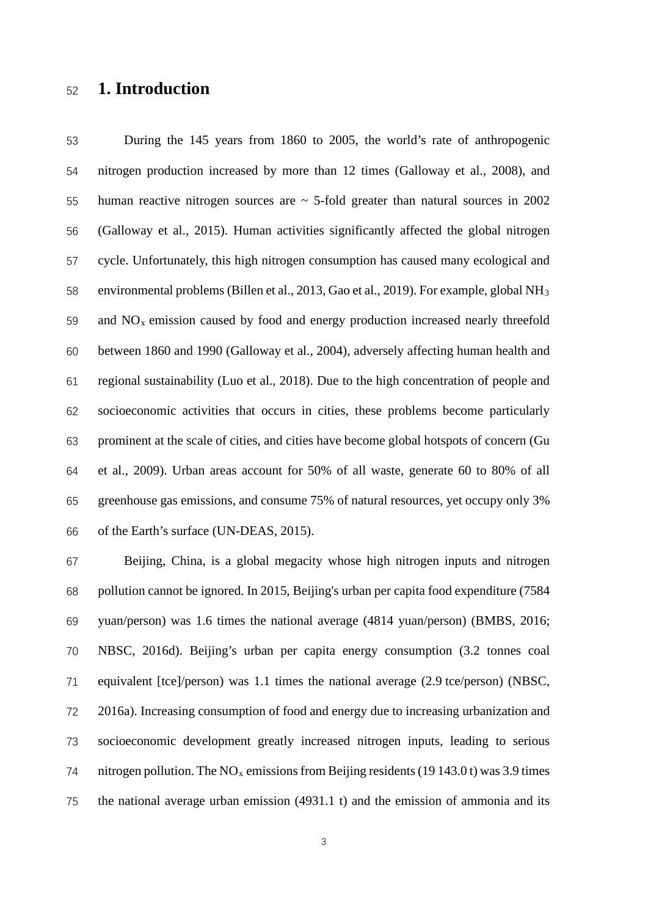# **1. Introduction**

 During the 145 years from 1860 to 2005, the world's rate of anthropogenic nitrogen production increased by more than 12 times (Galloway et al., 2008), and 55 human reactive nitrogen sources are  $\sim$  5-fold greater than natural sources in 2002 (Galloway et al., 2015). Human activities significantly affected the global nitrogen cycle. Unfortunately, this high nitrogen consumption has caused many ecological and environmental problems (Billen et al., 2013, Gao et al., 2019). For example, global NH3 59 and  $NO<sub>x</sub>$  emission caused by food and energy production increased nearly threefold between 1860 and 1990 (Galloway et al., 2004), adversely affecting human health and regional sustainability (Luo et al., 2018). Due to the high concentration of people and socioeconomic activities that occurs in cities, these problems become particularly prominent at the scale of cities, and cities have become global hotspots of concern (Gu et al., 2009). Urban areas account for 50% of all waste, generate 60 to 80% of all greenhouse gas emissions, and consume 75% of natural resources, yet occupy only 3% of the Earth's surface (UN-DEAS, 2015).

 Beijing, China, is a global megacity whose high nitrogen inputs and nitrogen pollution cannot be ignored. In 2015, Beijing's urban per capita food expenditure (7584 yuan/person) was 1.6 times the national average (4814 yuan/person) (BMBS, 2016; NBSC, 2016d). Beijing's urban per capita energy consumption (3.2 tonnes coal equivalent [tce]/person) was 1.1 times the national average (2.9 tce/person) (NBSC, 2016a). Increasing consumption of food and energy due to increasing urbanization and socioeconomic development greatly increased nitrogen inputs, leading to serious 74 nitrogen pollution. The  $NO<sub>x</sub>$  emissions from Beijing residents (19 143.0 t) was 3.9 times the national average urban emission (4931.1 t) and the emission of ammonia and its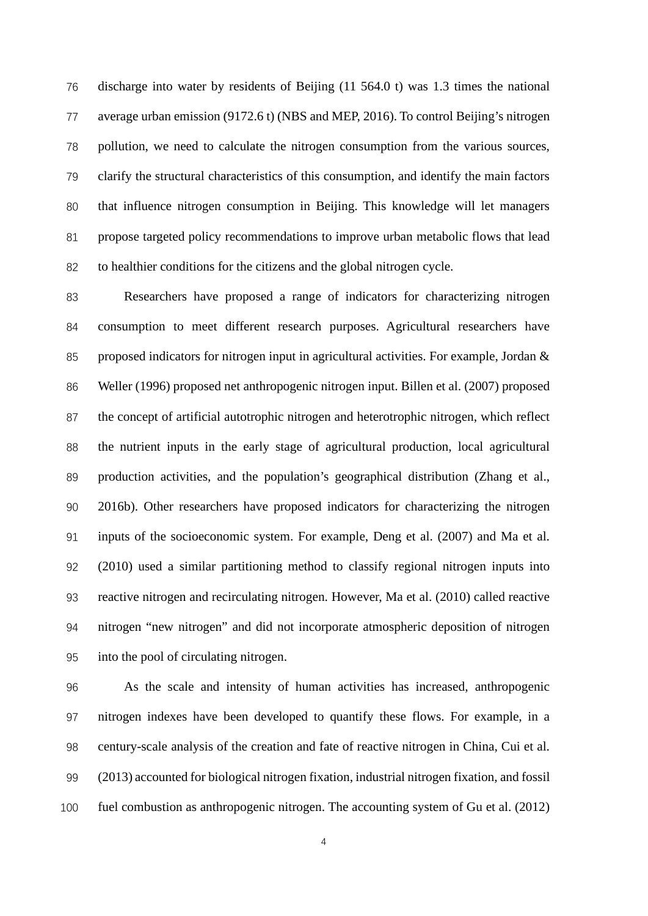discharge into water by residents of Beijing (11 564.0 t) was 1.3 times the national average urban emission (9172.6 t) (NBS and MEP, 2016). To control Beijing's nitrogen pollution, we need to calculate the nitrogen consumption from the various sources, clarify the structural characteristics of this consumption, and identify the main factors that influence nitrogen consumption in Beijing. This knowledge will let managers propose targeted policy recommendations to improve urban metabolic flows that lead to healthier conditions for the citizens and the global nitrogen cycle.

 Researchers have proposed a range of indicators for characterizing nitrogen consumption to meet different research purposes. Agricultural researchers have proposed indicators for nitrogen input in agricultural activities. For example, Jordan & Weller (1996) proposed net anthropogenic nitrogen input. Billen et al. (2007) proposed the concept of artificial autotrophic nitrogen and heterotrophic nitrogen, which reflect the nutrient inputs in the early stage of agricultural production, local agricultural production activities, and the population's geographical distribution (Zhang et al., 2016b). Other researchers have proposed indicators for characterizing the nitrogen inputs of the socioeconomic system. For example, Deng et al. (2007) and Ma et al. (2010) used a similar partitioning method to classify regional nitrogen inputs into reactive nitrogen and recirculating nitrogen. However, Ma et al. (2010) called reactive nitrogen "new nitrogen" and did not incorporate atmospheric deposition of nitrogen into the pool of circulating nitrogen.

 As the scale and intensity of human activities has increased, anthropogenic nitrogen indexes have been developed to quantify these flows. For example, in a century-scale analysis of the creation and fate of reactive nitrogen in China, Cui et al. (2013) accounted for biological nitrogen fixation, industrial nitrogen fixation, and fossil fuel combustion as anthropogenic nitrogen. The accounting system of Gu et al. (2012)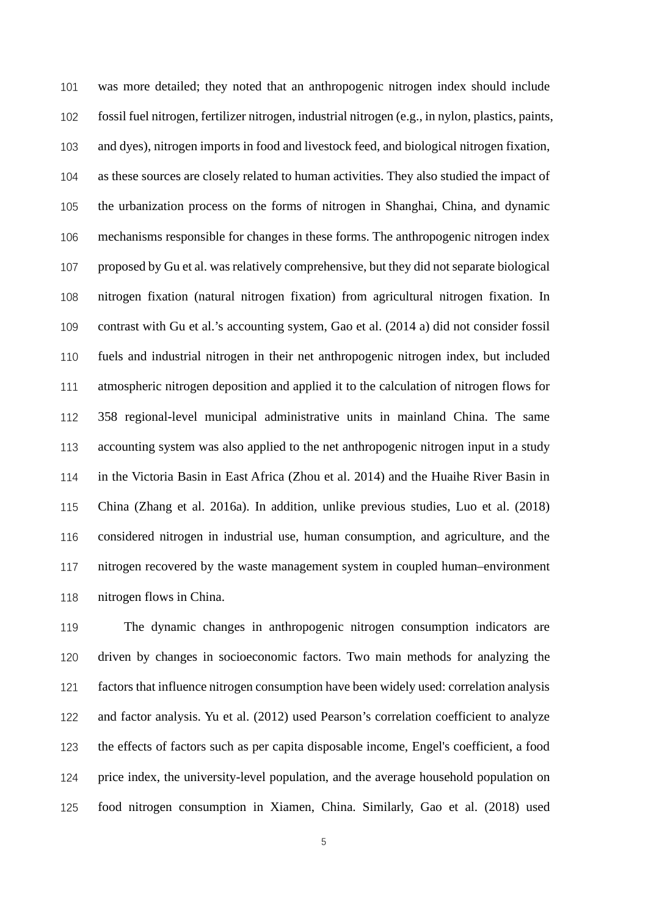was more detailed; they noted that an anthropogenic nitrogen index should include fossil fuel nitrogen, fertilizer nitrogen, industrial nitrogen (e.g., in nylon, plastics, paints, and dyes), nitrogen imports in food and livestock feed, and biological nitrogen fixation, as these sources are closely related to human activities. They also studied the impact of the urbanization process on the forms of nitrogen in Shanghai, China, and dynamic mechanisms responsible for changes in these forms. The anthropogenic nitrogen index proposed by Gu et al. was relatively comprehensive, but they did not separate biological nitrogen fixation (natural nitrogen fixation) from agricultural nitrogen fixation. In contrast with Gu et al.'s accounting system, Gao et al. (2014 a) did not consider fossil fuels and industrial nitrogen in their net anthropogenic nitrogen index, but included atmospheric nitrogen deposition and applied it to the calculation of nitrogen flows for 358 regional-level municipal administrative units in mainland China. The same accounting system was also applied to the net anthropogenic nitrogen input in a study in the Victoria Basin in East Africa (Zhou et al. 2014) and the Huaihe River Basin in China (Zhang et al. 2016a). In addition, unlike previous studies, Luo et al. (2018) considered nitrogen in industrial use, human consumption, and agriculture, and the nitrogen recovered by the waste management system in coupled human–environment nitrogen flows in China.

 The dynamic changes in anthropogenic nitrogen consumption indicators are driven by changes in socioeconomic factors. Two main methods for analyzing the factors that influence nitrogen consumption have been widely used: correlation analysis and factor analysis. Yu et al. (2012) used Pearson's correlation coefficient to analyze the effects of factors such as per capita disposable income, Engel's coefficient, a food price index, the university-level population, and the average household population on food nitrogen consumption in Xiamen, China. Similarly, Gao et al. (2018) used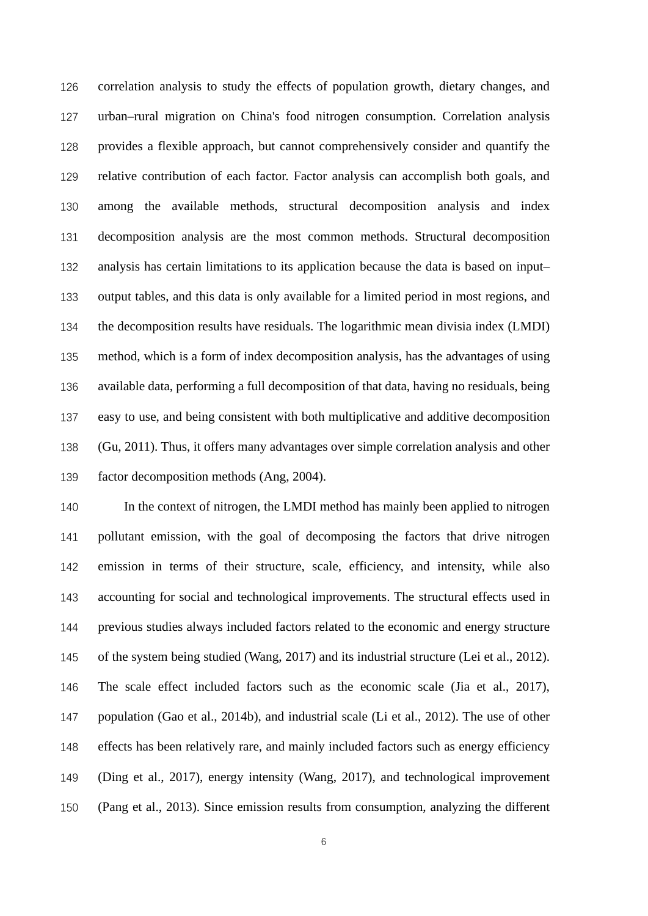correlation analysis to study the effects of population growth, dietary changes, and urban–rural migration on China's food nitrogen consumption. Correlation analysis provides a flexible approach, but cannot comprehensively consider and quantify the relative contribution of each factor. Factor analysis can accomplish both goals, and among the available methods, structural decomposition analysis and index decomposition analysis are the most common methods. Structural decomposition analysis has certain limitations to its application because the data is based on input– output tables, and this data is only available for a limited period in most regions, and the decomposition results have residuals. The logarithmic mean divisia index (LMDI) method, which is a form of index decomposition analysis, has the advantages of using available data, performing a full decomposition of that data, having no residuals, being easy to use, and being consistent with both multiplicative and additive decomposition (Gu, 2011). Thus, it offers many advantages over simple correlation analysis and other factor decomposition methods (Ang, 2004).

 In the context of nitrogen, the LMDI method has mainly been applied to nitrogen pollutant emission, with the goal of decomposing the factors that drive nitrogen emission in terms of their structure, scale, efficiency, and intensity, while also accounting for social and technological improvements. The structural effects used in previous studies always included factors related to the economic and energy structure of the system being studied (Wang, 2017) and its industrial structure (Lei et al., 2012). The scale effect included factors such as the economic scale (Jia et al., 2017), population (Gao et al., 2014b), and industrial scale (Li et al., 2012). The use of other effects has been relatively rare, and mainly included factors such as energy efficiency (Ding et al., 2017), energy intensity (Wang, 2017), and technological improvement (Pang et al., 2013). Since emission results from consumption, analyzing the different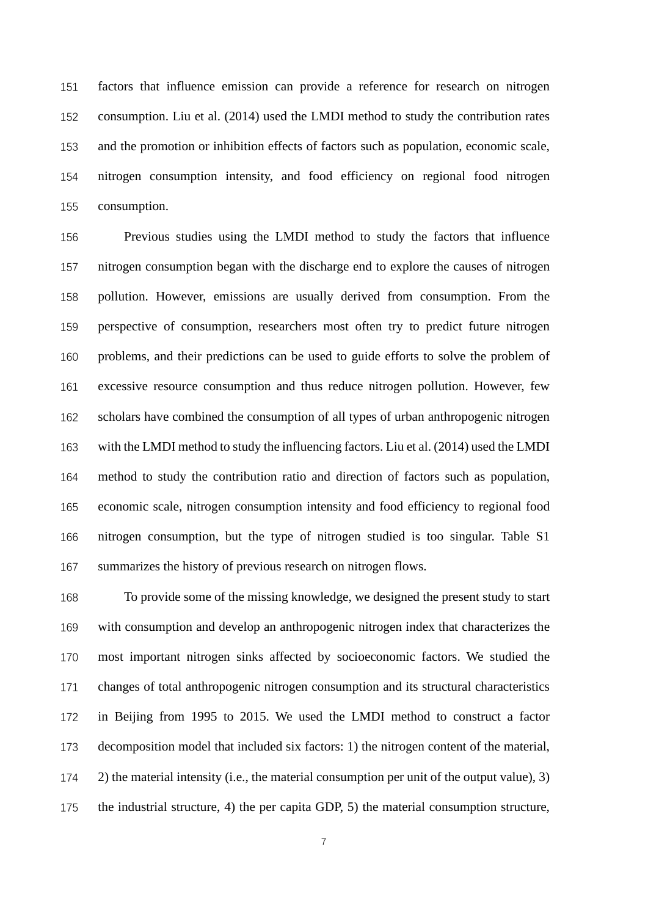factors that influence emission can provide a reference for research on nitrogen consumption. Liu et al. (2014) used the LMDI method to study the contribution rates and the promotion or inhibition effects of factors such as population, economic scale, nitrogen consumption intensity, and food efficiency on regional food nitrogen consumption.

 Previous studies using the LMDI method to study the factors that influence nitrogen consumption began with the discharge end to explore the causes of nitrogen pollution. However, emissions are usually derived from consumption. From the perspective of consumption, researchers most often try to predict future nitrogen problems, and their predictions can be used to guide efforts to solve the problem of excessive resource consumption and thus reduce nitrogen pollution. However, few scholars have combined the consumption of all types of urban anthropogenic nitrogen with the LMDI method to study the influencing factors. Liu et al. (2014) used the LMDI method to study the contribution ratio and direction of factors such as population, economic scale, nitrogen consumption intensity and food efficiency to regional food nitrogen consumption, but the type of nitrogen studied is too singular. Table S1 summarizes the history of previous research on nitrogen flows.

 To provide some of the missing knowledge, we designed the present study to start with consumption and develop an anthropogenic nitrogen index that characterizes the most important nitrogen sinks affected by socioeconomic factors. We studied the changes of total anthropogenic nitrogen consumption and its structural characteristics in Beijing from 1995 to 2015. We used the LMDI method to construct a factor decomposition model that included six factors: 1) the nitrogen content of the material, 2) the material intensity (i.e., the material consumption per unit of the output value), 3) the industrial structure, 4) the per capita GDP, 5) the material consumption structure,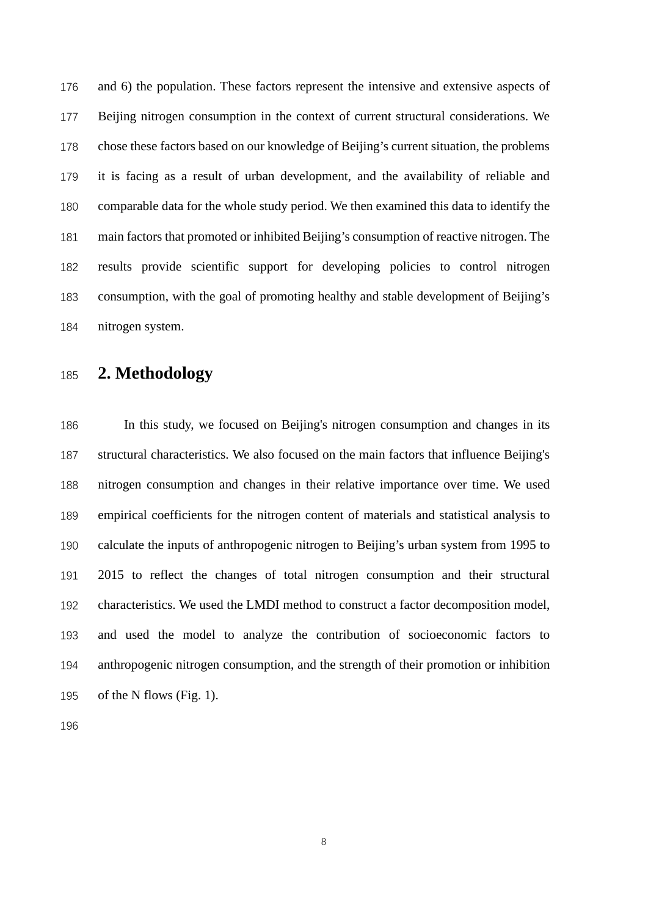and 6) the population. These factors represent the intensive and extensive aspects of Beijing nitrogen consumption in the context of current structural considerations. We chose these factors based on our knowledge of Beijing's current situation, the problems it is facing as a result of urban development, and the availability of reliable and comparable data for the whole study period. We then examined this data to identify the main factors that promoted or inhibited Beijing's consumption of reactive nitrogen. The results provide scientific support for developing policies to control nitrogen consumption, with the goal of promoting healthy and stable development of Beijing's nitrogen system.

# **2. Methodology**

 In this study, we focused on Beijing's nitrogen consumption and changes in its structural characteristics. We also focused on the main factors that influence Beijing's nitrogen consumption and changes in their relative importance over time. We used empirical coefficients for the nitrogen content of materials and statistical analysis to calculate the inputs of anthropogenic nitrogen to Beijing's urban system from 1995 to 2015 to reflect the changes of total nitrogen consumption and their structural characteristics. We used the LMDI method to construct a factor decomposition model, and used the model to analyze the contribution of socioeconomic factors to anthropogenic nitrogen consumption, and the strength of their promotion or inhibition of the N flows (Fig. 1).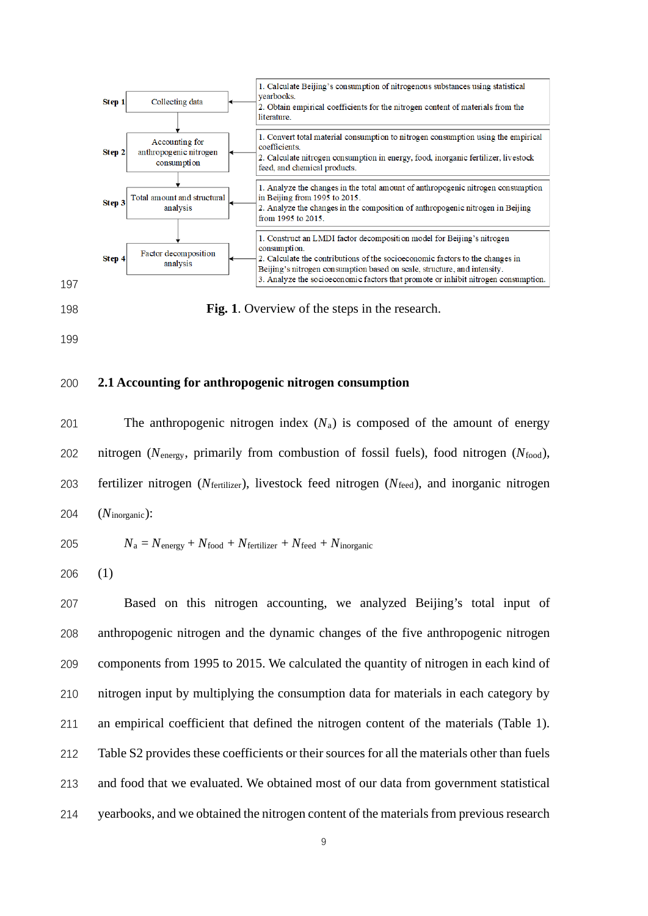

**Fig. 1**. Overview of the steps in the research.

#### **2.1 Accounting for anthropogenic nitrogen consumption**

201 The anthropogenic nitrogen index  $(N_a)$  is composed of the amount of energy nitrogen (*N*energy, primarily from combustion of fossil fuels), food nitrogen (*N*food), fertilizer nitrogen (*N*fertilizer), livestock feed nitrogen (*N*feed), and inorganic nitrogen (*N*inorganic):

$$
N_a = N_{\text{energy}} + N_{\text{food}} + N_{\text{fertilizer}} + N_{\text{feed}} + N_{\text{inorganic}}
$$

(1)

 Based on this nitrogen accounting, we analyzed Beijing's total input of anthropogenic nitrogen and the dynamic changes of the five anthropogenic nitrogen components from 1995 to 2015. We calculated the quantity of nitrogen in each kind of nitrogen input by multiplying the consumption data for materials in each category by an empirical coefficient that defined the nitrogen content of the materials (Table 1). Table S2 provides these coefficients or their sources for all the materials other than fuels and food that we evaluated. We obtained most of our data from government statistical 214 vearbooks, and we obtained the nitrogen content of the materials from previous research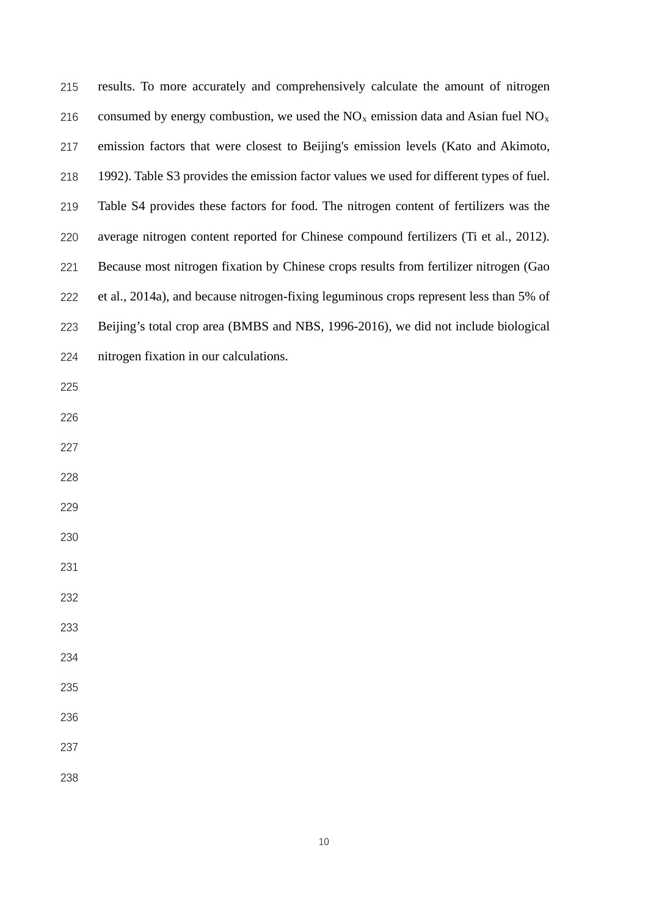| 215 | results. To more accurately and comprehensively calculate the amount of nitrogen         |
|-----|------------------------------------------------------------------------------------------|
| 216 | consumed by energy combustion, we used the $NOx$ emission data and Asian fuel $NOx$      |
| 217 | emission factors that were closest to Beijing's emission levels (Kato and Akimoto,       |
| 218 | 1992). Table S3 provides the emission factor values we used for different types of fuel. |
| 219 | Table S4 provides these factors for food. The nitrogen content of fertilizers was the    |
| 220 | average nitrogen content reported for Chinese compound fertilizers (Ti et al., 2012).    |
| 221 | Because most nitrogen fixation by Chinese crops results from fertilizer nitrogen (Gao    |
| 222 | et al., 2014a), and because nitrogen-fixing leguminous crops represent less than 5% of   |
| 223 | Beijing's total crop area (BMBS and NBS, 1996-2016), we did not include biological       |
| 224 | nitrogen fixation in our calculations.                                                   |
| 225 |                                                                                          |
| 226 |                                                                                          |
| 227 |                                                                                          |
| 228 |                                                                                          |
| 229 |                                                                                          |
| 230 |                                                                                          |
| 231 |                                                                                          |
| 232 |                                                                                          |
| 233 |                                                                                          |
| 234 |                                                                                          |
| 235 |                                                                                          |
| 236 |                                                                                          |
| 237 |                                                                                          |
| 238 |                                                                                          |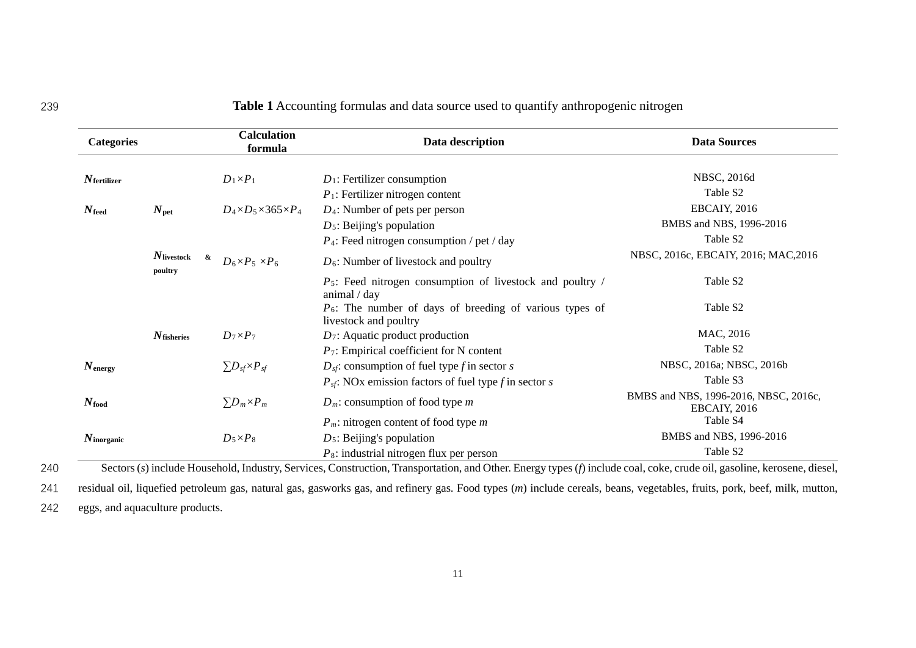| <b>Table 1</b> Accounting formulas and data source used to quantify anthropogenic nitrogen |
|--------------------------------------------------------------------------------------------|
|                                                                                            |

| <b>Categories</b>      |                                     | <b>Calculation</b><br>formula          | Data description                                                                    | <b>Data Sources</b>                                          |
|------------------------|-------------------------------------|----------------------------------------|-------------------------------------------------------------------------------------|--------------------------------------------------------------|
| $N_{\rm fertilizer}$   |                                     | $D_1\times P_1$                        | $D_1$ : Fertilizer consumption                                                      | NBSC, 2016d                                                  |
|                        |                                     |                                        | $P_1$ : Fertilizer nitrogen content                                                 | Table S <sub>2</sub>                                         |
| $N_{\rm feed}$         | $N_{\rm pet}$                       | $D_4 \times D_5 \times 365 \times P_4$ | $D_4$ : Number of pets per person                                                   | <b>EBCAIY, 2016</b>                                          |
|                        |                                     |                                        | $D_5$ : Beijing's population                                                        | BMBS and NBS, 1996-2016                                      |
|                        |                                     |                                        | $P_4$ : Feed nitrogen consumption / pet / day                                       | Table S <sub>2</sub>                                         |
|                        | $N_{\rm livestock}$<br>&<br>poultry | $D_6\times P_5\times P_6$              | $D_6$ : Number of livestock and poultry                                             | NBSC, 2016c, EBCAIY, 2016; MAC, 2016                         |
|                        |                                     |                                        | $P_5$ : Feed nitrogen consumption of livestock and poultry /<br>animal / day        | Table S2                                                     |
|                        |                                     |                                        | $P_6$ : The number of days of breeding of various types of<br>livestock and poultry | Table S2                                                     |
|                        | $N_{\text{fisheries}}$              | $D_7\times P_7$                        | $D_7$ : Aquatic product production                                                  | MAC, 2016                                                    |
|                        |                                     |                                        | $P_7$ : Empirical coefficient for N content                                         | Table S <sub>2</sub>                                         |
| $N_{\text{energy}}$    |                                     | $\sum D_{sf} \times P_{sf}$            | $D_{sf}$ : consumption of fuel type f in sector s                                   | NBSC, 2016a; NBSC, 2016b                                     |
|                        |                                     |                                        | $P_{sf}$ : NOx emission factors of fuel type f in sector s                          | Table S3                                                     |
| $N_{\rm food}$         |                                     | $\Sigma D_m \times P_m$                | $D_m$ : consumption of food type m                                                  | BMBS and NBS, 1996-2016, NBSC, 2016c,<br><b>EBCAIY, 2016</b> |
|                        |                                     |                                        | $P_m$ : nitrogen content of food type m                                             | Table S4                                                     |
| $N_{\text{inorganic}}$ |                                     | $D_5\times P_8$                        | $D_5$ : Beijing's population                                                        | BMBS and NBS, 1996-2016                                      |
|                        |                                     |                                        | $P_8$ : industrial nitrogen flux per person                                         | Table S <sub>2</sub>                                         |

240 Sectors (*s*) include Household, Industry, Services, Construction, Transportation, and Other. Energy types(*f*) include coal, coke, crude oil, gasoline, kerosene, diesel,

241 residual oil, liquefied petroleum gas, natural gas, gasworks gas, and refinery gas. Food types (*m*) include cereals, beans, vegetables, fruits, pork, beef, milk, mutton,

242 eggs, and aquaculture products.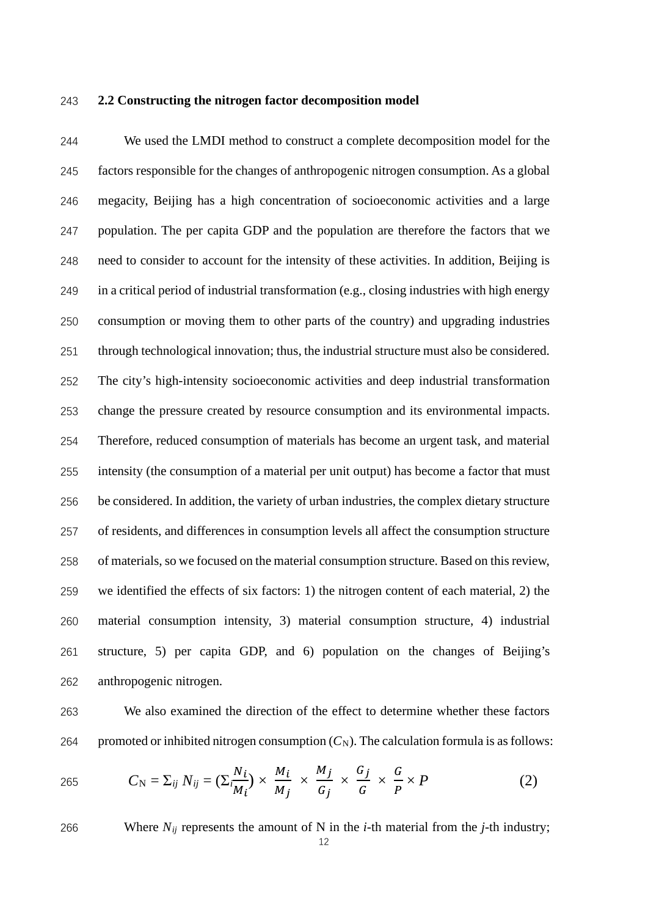#### 243 **2.2 Constructing the nitrogen factor decomposition model**

 We used the LMDI method to construct a complete decomposition model for the factors responsible for the changes of anthropogenic nitrogen consumption. As a global megacity, Beijing has a high concentration of socioeconomic activities and a large population. The per capita GDP and the population are therefore the factors that we need to consider to account for the intensity of these activities. In addition, Beijing is in a critical period of industrial transformation (e.g., closing industries with high energy consumption or moving them to other parts of the country) and upgrading industries through technological innovation; thus, the industrial structure must also be considered. The city's high-intensity socioeconomic activities and deep industrial transformation change the pressure created by resource consumption and its environmental impacts. Therefore, reduced consumption of materials has become an urgent task, and material intensity (the consumption of a material per unit output) has become a factor that must be considered. In addition, the variety of urban industries, the complex dietary structure of residents, and differences in consumption levels all affect the consumption structure of materials, so we focused on the material consumption structure. Based on this review, we identified the effects of six factors: 1) the nitrogen content of each material, 2) the material consumption intensity, 3) material consumption structure, 4) industrial structure, 5) per capita GDP, and 6) population on the changes of Beijing's anthropogenic nitrogen.

263 We also examined the direction of the effect to determine whether these factors 264 promoted or inhibited nitrogen consumption  $(C_N)$ . The calculation formula is as follows:

265 
$$
C_{\rm N} = \sum_{ij} N_{ij} = (\sum_{i=1}^{N_i} N_i) \times \frac{M_i}{M_j} \times \frac{M_j}{G_j} \times \frac{G_j}{G} \times \frac{G}{P} \times P
$$
 (2)

266 Where *Nij* represents the amount of N in the *i*-th material from the *j*-th industry;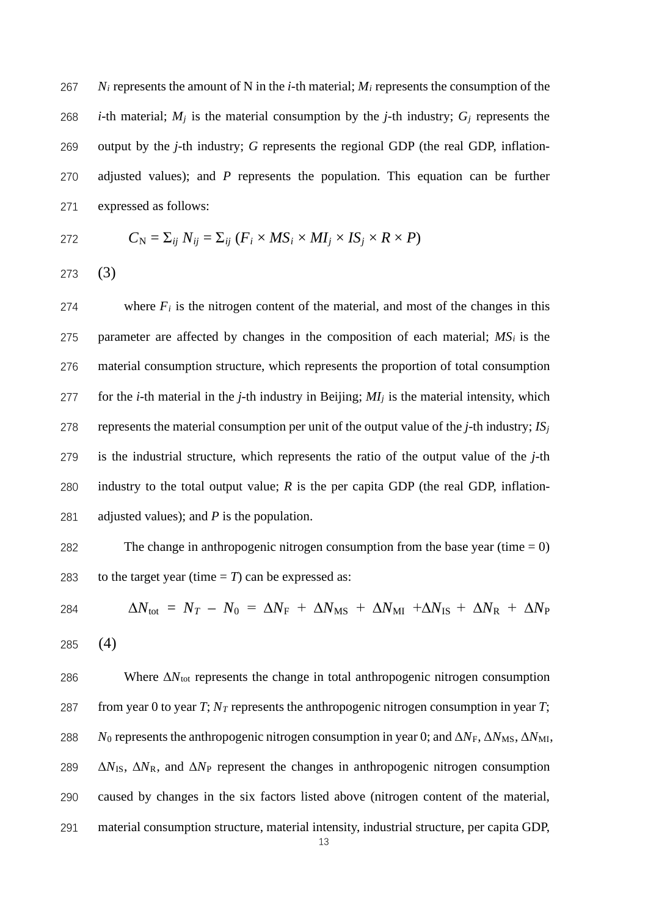*Ni* represents the amount of N in the *i*-th material; *Mi* represents the consumption of the *i*-th material;  $M_i$  is the material consumption by the *j*-th industry;  $G_i$  represents the output by the *j*-th industry; *G* represents the regional GDP (the real GDP, inflation- adjusted values); and *P* represents the population. This equation can be further expressed as follows:

272 
$$
C_{\rm N} = \Sigma_{ij} N_{ij} = \Sigma_{ij} (F_i \times MS_i \times MI_j \times IS_j \times R \times P)
$$

273 (3)

274 where  $F_i$  is the nitrogen content of the material, and most of the changes in this 275 parameter are affected by changes in the composition of each material;  $MS_i$  is the 276 material consumption structure, which represents the proportion of total consumption 277 for the *i*-th material in the *j*-th industry in Beijing;  $MI_j$  is the material intensity, which 278 represents the material consumption per unit of the output value of the *j*-th industry;  $IS_i$ 279 is the industrial structure, which represents the ratio of the output value of the *j*-th 280 industry to the total output value; *R* is the per capita GDP (the real GDP, inflation-281 adjusted values); and *P* is the population.

282 The change in anthropogenic nitrogen consumption from the base year (time  $= 0$ ) 283 to the target year (time  $= T$ ) can be expressed as:

284 
$$
\Delta N_{\text{tot}} = N_T - N_0 = \Delta N_{\text{F}} + \Delta N_{\text{MS}} + \Delta N_{\text{MI}} + \Delta N_{\text{IS}} + \Delta N_{\text{R}} + \Delta N_{\text{P}}
$$

285 (4)

286 Where  $\Delta N_{\text{tot}}$  represents the change in total anthropogenic nitrogen consumption 287 from year 0 to year *T*;  $N_T$  represents the anthropogenic nitrogen consumption in year *T*; *N*<sub>0</sub> represents the anthropogenic nitrogen consumption in year 0; and  $\Delta N_F$ ,  $\Delta N_{MS}$ ,  $\Delta N_{MI}$ ,  $\Delta N_{\rm IS}$ ,  $\Delta N_{\rm R}$ , and  $\Delta N_{\rm P}$  represent the changes in anthropogenic nitrogen consumption caused by changes in the six factors listed above (nitrogen content of the material, material consumption structure, material intensity, industrial structure, per capita GDP,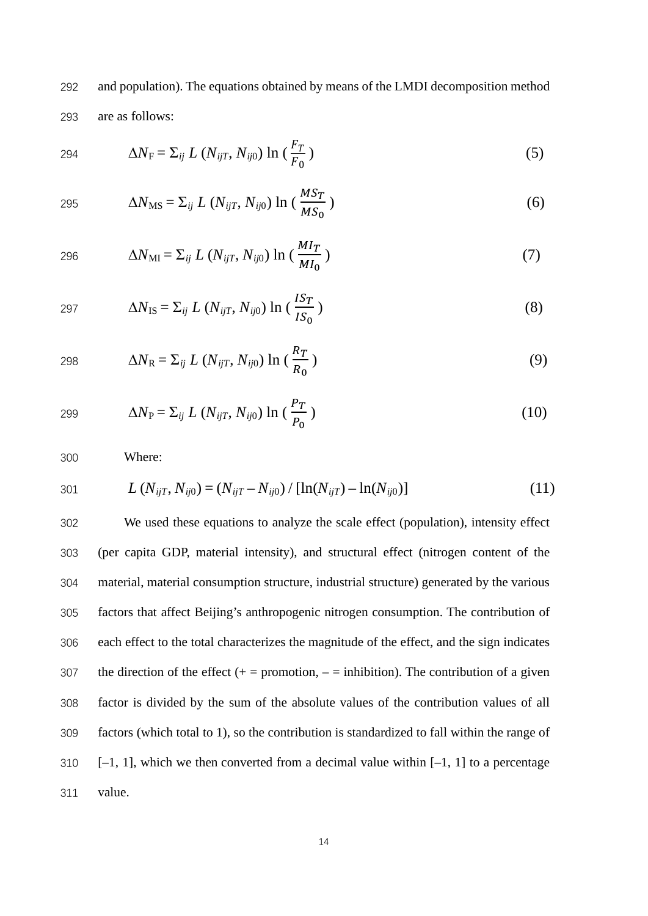and population). The equations obtained by means of the LMDI decomposition method are as follows:

$$
\Delta N_{\rm F} = \sum_{ij} L\left(N_{ijT}, N_{ij0}\right) \ln\left(\frac{F_T}{F_0}\right) \tag{5}
$$

$$
\Delta N_{\rm MS} = \Sigma_{ij} L \left( N_{ijT}, N_{ij0} \right) \ln \left( \frac{M S_T}{M S_0} \right) \tag{6}
$$

296 
$$
\Delta N_{\text{MI}} = \sum_{ij} L\left(N_{ijT}, N_{ij0}\right) \ln\left(\frac{MI_T}{M I_0}\right)
$$
 (7)

$$
\Delta N_{\rm IS} = \Sigma_{ij} L \left( N_{ijT}, N_{ij0} \right) \ln \left( \frac{IS_T}{IS_0} \right) \tag{8}
$$

$$
\Delta N_{\rm R} = \Sigma_{ij} L \left( N_{ijT}, N_{ij0} \right) \ln \left( \frac{R_T}{R_0} \right) \tag{9}
$$

299 
$$
\Delta N_{\rm P} = \sum_{ij} L \left( N_{ijT}, N_{ij0} \right) \ln \left( \frac{P_T}{P_0} \right)
$$
 (10)

Where:

301 
$$
L(N_{ijT}, N_{ij0}) = (N_{ijT} - N_{ij0}) / [\ln(N_{ijT}) - \ln(N_{ij0})]
$$
 (11)

 We used these equations to analyze the scale effect (population), intensity effect (per capita GDP, material intensity), and structural effect (nitrogen content of the material, material consumption structure, industrial structure) generated by the various factors that affect Beijing's anthropogenic nitrogen consumption. The contribution of each effect to the total characterizes the magnitude of the effect, and the sign indicates 307 the direction of the effect  $(+)$  = promotion,  $-$  = inhibition). The contribution of a given factor is divided by the sum of the absolute values of the contribution values of all factors (which total to 1), so the contribution is standardized to fall within the range of  $[-1, 1]$ , which we then converted from a decimal value within  $[-1, 1]$  to a percentage value.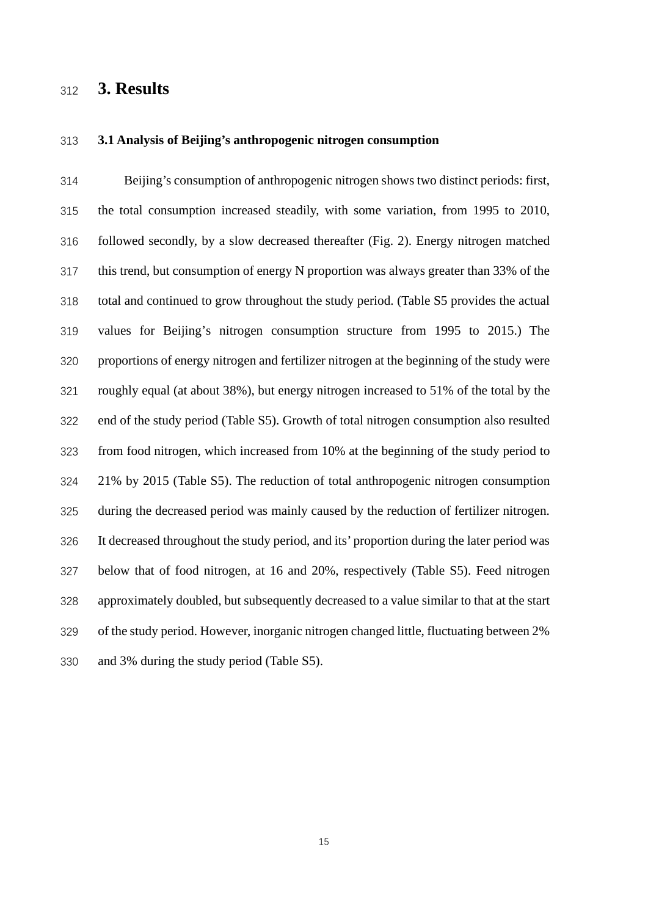# **3. Results**

#### **3.1 Analysis of Beijing's anthropogenic nitrogen consumption**

 Beijing's consumption of anthropogenic nitrogen shows two distinct periods: first, the total consumption increased steadily, with some variation, from 1995 to 2010, followed secondly, by a slow decreased thereafter (Fig. 2). Energy nitrogen matched this trend, but consumption of energy N proportion was always greater than 33% of the total and continued to grow throughout the study period. (Table S5 provides the actual values for Beijing's nitrogen consumption structure from 1995 to 2015.) The proportions of energy nitrogen and fertilizer nitrogen at the beginning of the study were roughly equal (at about 38%), but energy nitrogen increased to 51% of the total by the end of the study period (Table S5). Growth of total nitrogen consumption also resulted from food nitrogen, which increased from 10% at the beginning of the study period to 21% by 2015 (Table S5). The reduction of total anthropogenic nitrogen consumption during the decreased period was mainly caused by the reduction of fertilizer nitrogen. It decreased throughout the study period, and its' proportion during the later period was below that of food nitrogen, at 16 and 20%, respectively (Table S5). Feed nitrogen approximately doubled, but subsequently decreased to a value similar to that at the start of the study period. However, inorganic nitrogen changed little, fluctuating between 2% and 3% during the study period (Table S5).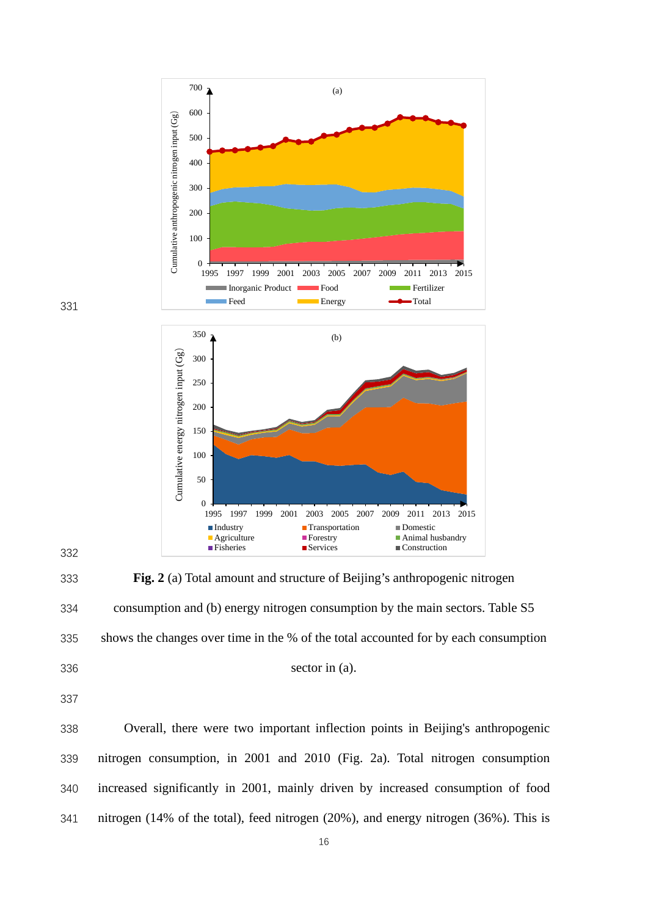



 **Fig. 2** (a) Total amount and structure of Beijing's anthropogenic nitrogen consumption and (b) energy nitrogen consumption by the main sectors. Table S5 shows the changes over time in the % of the total accounted for by each consumption

sector in (a).

 Overall, there were two important inflection points in Beijing's anthropogenic nitrogen consumption, in 2001 and 2010 (Fig. 2a). Total nitrogen consumption increased significantly in 2001, mainly driven by increased consumption of food nitrogen (14% of the total), feed nitrogen (20%), and energy nitrogen (36%). This is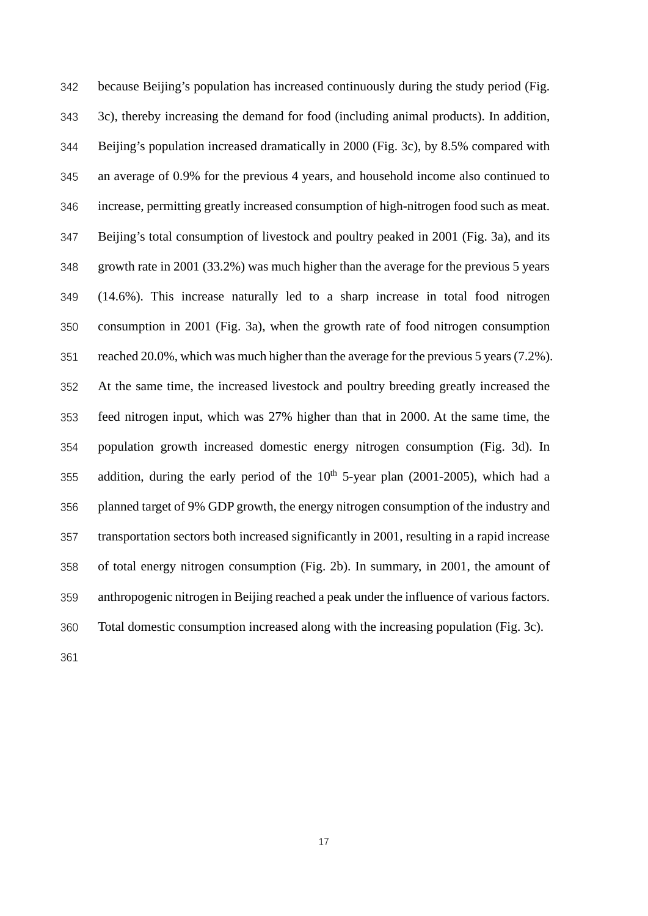because Beijing's population has increased continuously during the study period (Fig. 3c), thereby increasing the demand for food (including animal products). In addition, Beijing's population increased dramatically in 2000 (Fig. 3c), by 8.5% compared with an average of 0.9% for the previous 4 years, and household income also continued to increase, permitting greatly increased consumption of high-nitrogen food such as meat. Beijing's total consumption of livestock and poultry peaked in 2001 (Fig. 3a), and its growth rate in 2001 (33.2%) was much higher than the average for the previous 5 years (14.6%). This increase naturally led to a sharp increase in total food nitrogen consumption in 2001 (Fig. 3a), when the growth rate of food nitrogen consumption reached 20.0%, which was much higher than the average for the previous 5 years (7.2%). At the same time, the increased livestock and poultry breeding greatly increased the feed nitrogen input, which was 27% higher than that in 2000. At the same time, the population growth increased domestic energy nitrogen consumption (Fig. 3d). In 355 addition, during the early period of the  $10<sup>th</sup>$  5-year plan (2001-2005), which had a planned target of 9% GDP growth, the energy nitrogen consumption of the industry and transportation sectors both increased significantly in 2001, resulting in a rapid increase of total energy nitrogen consumption (Fig. 2b). In summary, in 2001, the amount of anthropogenic nitrogen in Beijing reached a peak under the influence of various factors. Total domestic consumption increased along with the increasing population (Fig. 3c).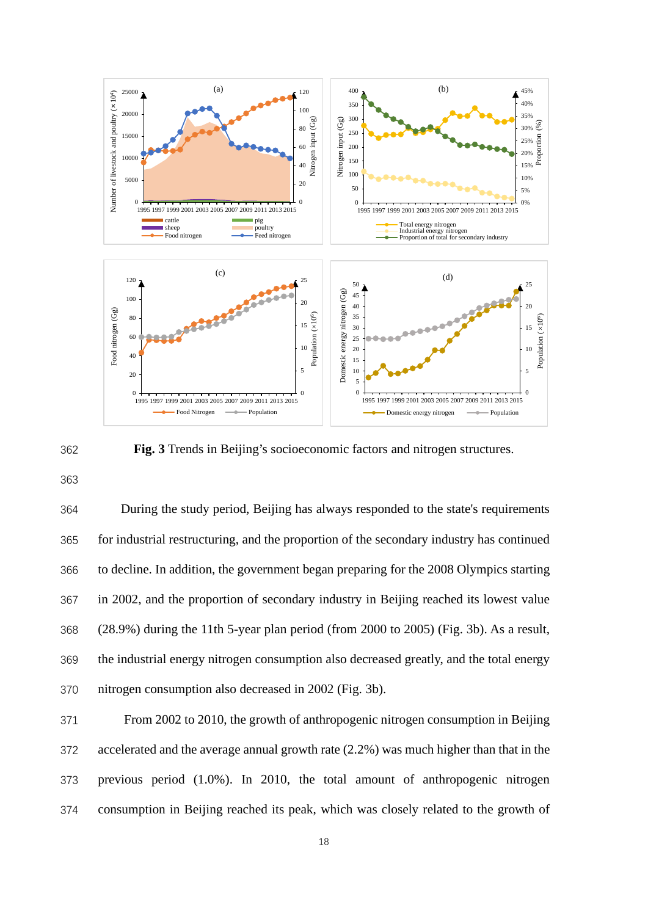



 During the study period, Beijing has always responded to the state's requirements for industrial restructuring, and the proportion of the secondary industry has continued to decline. In addition, the government began preparing for the 2008 Olympics starting in 2002, and the proportion of secondary industry in Beijing reached its lowest value (28.9%) during the 11th 5-year plan period (from 2000 to 2005) (Fig. 3b). As a result, the industrial energy nitrogen consumption also decreased greatly, and the total energy nitrogen consumption also decreased in 2002 (Fig. 3b).

 From 2002 to 2010, the growth of anthropogenic nitrogen consumption in Beijing accelerated and the average annual growth rate (2.2%) was much higher than that in the previous period (1.0%). In 2010, the total amount of anthropogenic nitrogen consumption in Beijing reached its peak, which was closely related to the growth of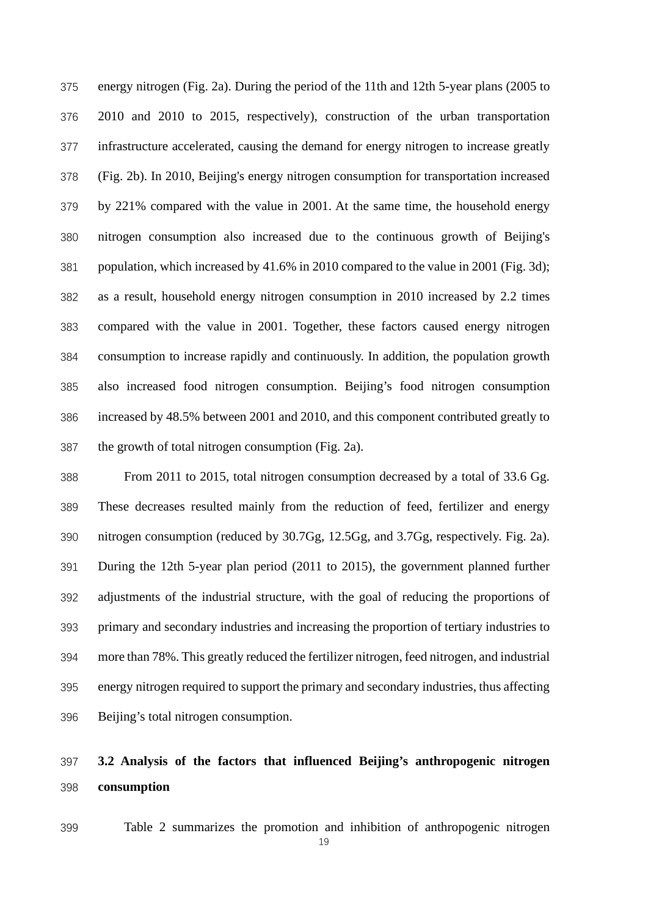energy nitrogen (Fig. 2a). During the period of the 11th and 12th 5-year plans (2005 to 2010 and 2010 to 2015, respectively), construction of the urban transportation infrastructure accelerated, causing the demand for energy nitrogen to increase greatly (Fig. 2b). In 2010, Beijing's energy nitrogen consumption for transportation increased by 221% compared with the value in 2001. At the same time, the household energy nitrogen consumption also increased due to the continuous growth of Beijing's population, which increased by 41.6% in 2010 compared to the value in 2001 (Fig. 3d); as a result, household energy nitrogen consumption in 2010 increased by 2.2 times compared with the value in 2001. Together, these factors caused energy nitrogen consumption to increase rapidly and continuously. In addition, the population growth also increased food nitrogen consumption. Beijing's food nitrogen consumption increased by 48.5% between 2001 and 2010, and this component contributed greatly to the growth of total nitrogen consumption (Fig. 2a).

 From 2011 to 2015, total nitrogen consumption decreased by a total of 33.6 Gg. These decreases resulted mainly from the reduction of feed, fertilizer and energy nitrogen consumption (reduced by 30.7Gg, 12.5Gg, and 3.7Gg, respectively. Fig. 2a). During the 12th 5-year plan period (2011 to 2015), the government planned further adjustments of the industrial structure, with the goal of reducing the proportions of primary and secondary industries and increasing the proportion of tertiary industries to more than 78%. This greatly reduced the fertilizer nitrogen, feed nitrogen, and industrial energy nitrogen required to support the primary and secondary industries, thus affecting Beijing's total nitrogen consumption.

# **3.2 Analysis of the factors that influenced Beijing's anthropogenic nitrogen consumption**

Table 2 summarizes the promotion and inhibition of anthropogenic nitrogen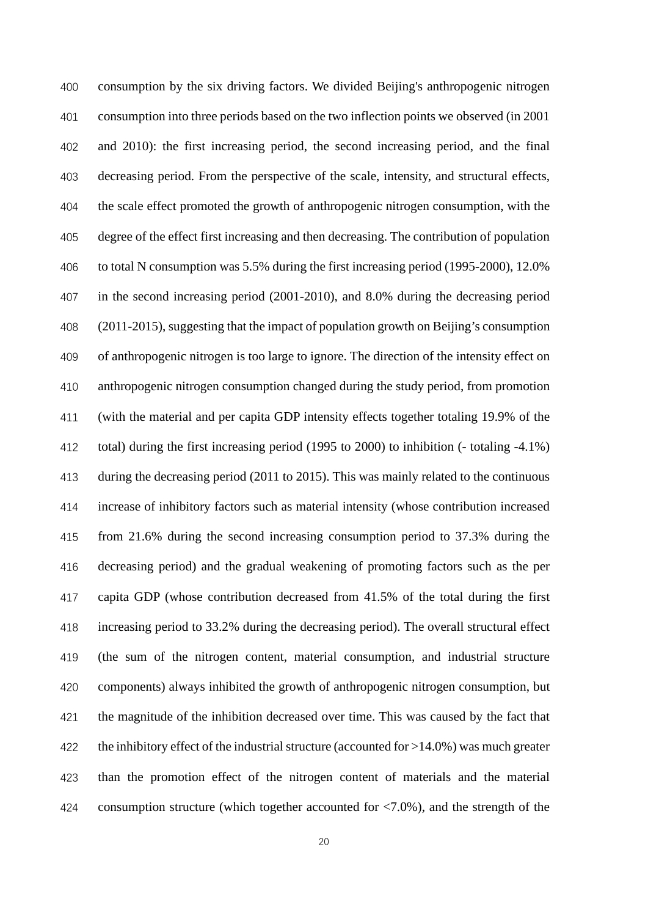consumption by the six driving factors. We divided Beijing's anthropogenic nitrogen consumption into three periods based on the two inflection points we observed (in 2001 and 2010): the first increasing period, the second increasing period, and the final decreasing period. From the perspective of the scale, intensity, and structural effects, the scale effect promoted the growth of anthropogenic nitrogen consumption, with the degree of the effect first increasing and then decreasing. The contribution of population to total N consumption was 5.5% during the first increasing period (1995-2000), 12.0% in the second increasing period (2001-2010), and 8.0% during the decreasing period (2011-2015), suggesting that the impact of population growth on Beijing's consumption of anthropogenic nitrogen is too large to ignore. The direction of the intensity effect on anthropogenic nitrogen consumption changed during the study period, from promotion (with the material and per capita GDP intensity effects together totaling 19.9% of the total) during the first increasing period (1995 to 2000) to inhibition (- totaling -4.1%) during the decreasing period (2011 to 2015). This was mainly related to the continuous increase of inhibitory factors such as material intensity (whose contribution increased from 21.6% during the second increasing consumption period to 37.3% during the decreasing period) and the gradual weakening of promoting factors such as the per capita GDP (whose contribution decreased from 41.5% of the total during the first increasing period to 33.2% during the decreasing period). The overall structural effect (the sum of the nitrogen content, material consumption, and industrial structure components) always inhibited the growth of anthropogenic nitrogen consumption, but the magnitude of the inhibition decreased over time. This was caused by the fact that 422 the inhibitory effect of the industrial structure (accounted for  $>14.0\%$ ) was much greater than the promotion effect of the nitrogen content of materials and the material consumption structure (which together accounted for <7.0%), and the strength of the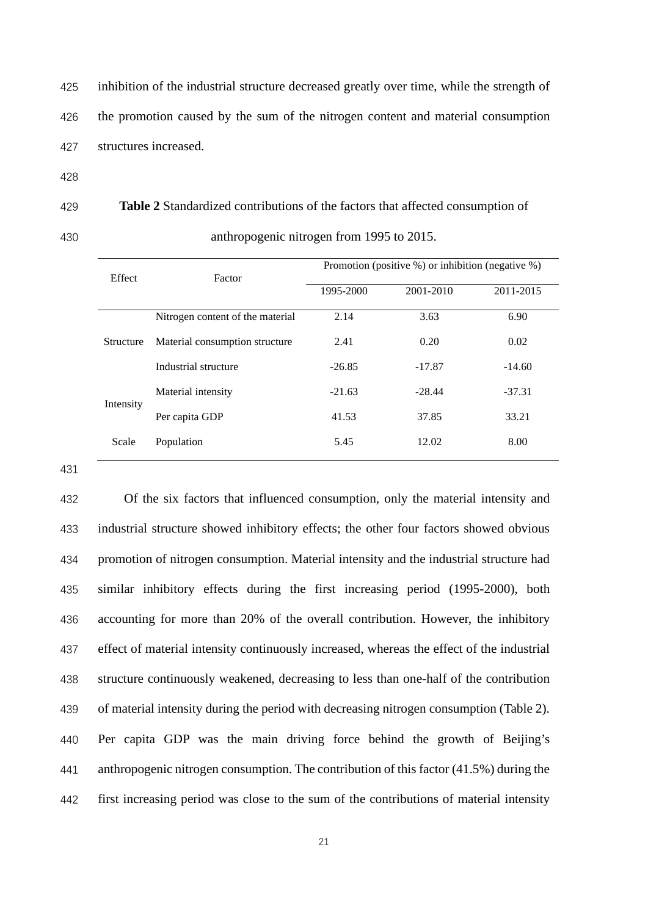inhibition of the industrial structure decreased greatly over time, while the strength of the promotion caused by the sum of the nitrogen content and material consumption structures increased.

 **Table 2** Standardized contributions of the factors that affected consumption of anthropogenic nitrogen from 1995 to 2015.

| Effect    | Factor                           | Promotion (positive %) or inhibition (negative %) |           |           |  |  |
|-----------|----------------------------------|---------------------------------------------------|-----------|-----------|--|--|
|           |                                  | 1995-2000                                         | 2001-2010 | 2011-2015 |  |  |
|           | Nitrogen content of the material | 2.14                                              | 3.63      | 6.90      |  |  |
| Structure | Material consumption structure   | 2.41                                              | 0.20      | 0.02      |  |  |
|           | Industrial structure             | $-26.85$                                          | $-17.87$  | $-14.60$  |  |  |
| Intensity | Material intensity               | $-21.63$                                          | $-28.44$  | $-37.31$  |  |  |
|           | Per capita GDP                   | 41.53                                             | 37.85     | 33.21     |  |  |
| Scale     | Population                       | 5.45                                              | 12.02     | 8.00      |  |  |

 Of the six factors that influenced consumption, only the material intensity and industrial structure showed inhibitory effects; the other four factors showed obvious promotion of nitrogen consumption. Material intensity and the industrial structure had similar inhibitory effects during the first increasing period (1995-2000), both accounting for more than 20% of the overall contribution. However, the inhibitory effect of material intensity continuously increased, whereas the effect of the industrial structure continuously weakened, decreasing to less than one-half of the contribution of material intensity during the period with decreasing nitrogen consumption (Table 2). Per capita GDP was the main driving force behind the growth of Beijing's anthropogenic nitrogen consumption. The contribution of this factor (41.5%) during the first increasing period was close to the sum of the contributions of material intensity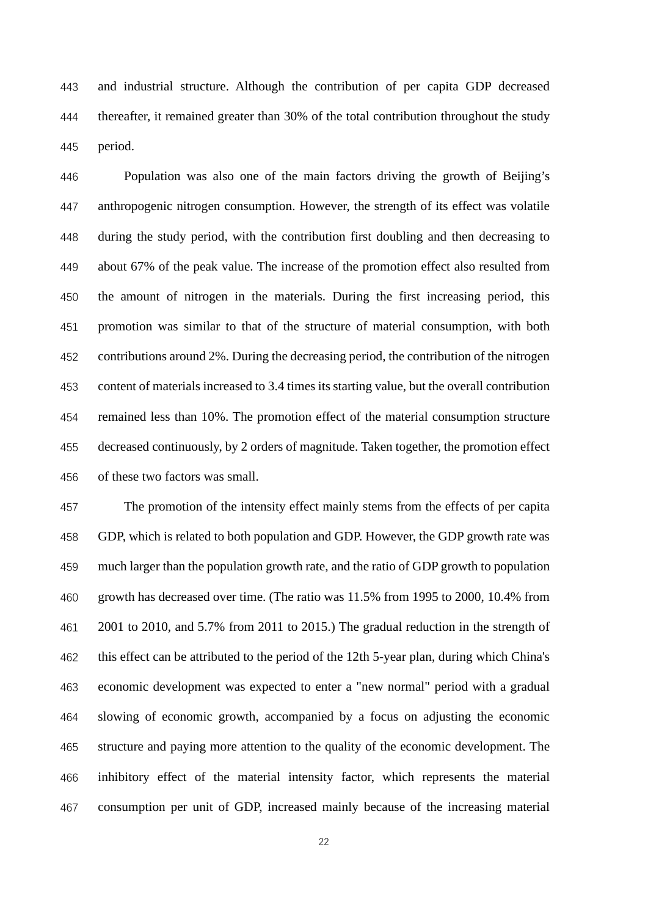and industrial structure. Although the contribution of per capita GDP decreased thereafter, it remained greater than 30% of the total contribution throughout the study period.

 Population was also one of the main factors driving the growth of Beijing's anthropogenic nitrogen consumption. However, the strength of its effect was volatile during the study period, with the contribution first doubling and then decreasing to about 67% of the peak value. The increase of the promotion effect also resulted from the amount of nitrogen in the materials. During the first increasing period, this promotion was similar to that of the structure of material consumption, with both contributions around 2%. During the decreasing period, the contribution of the nitrogen content of materials increased to 3.4 times its starting value, but the overall contribution remained less than 10%. The promotion effect of the material consumption structure decreased continuously, by 2 orders of magnitude. Taken together, the promotion effect of these two factors was small.

 The promotion of the intensity effect mainly stems from the effects of per capita GDP, which is related to both population and GDP. However, the GDP growth rate was much larger than the population growth rate, and the ratio of GDP growth to population growth has decreased over time. (The ratio was 11.5% from 1995 to 2000, 10.4% from 2001 to 2010, and 5.7% from 2011 to 2015.) The gradual reduction in the strength of this effect can be attributed to the period of the 12th 5-year plan, during which China's economic development was expected to enter a "new normal" period with a gradual slowing of economic growth, accompanied by a focus on adjusting the economic structure and paying more attention to the quality of the economic development. The inhibitory effect of the material intensity factor, which represents the material consumption per unit of GDP, increased mainly because of the increasing material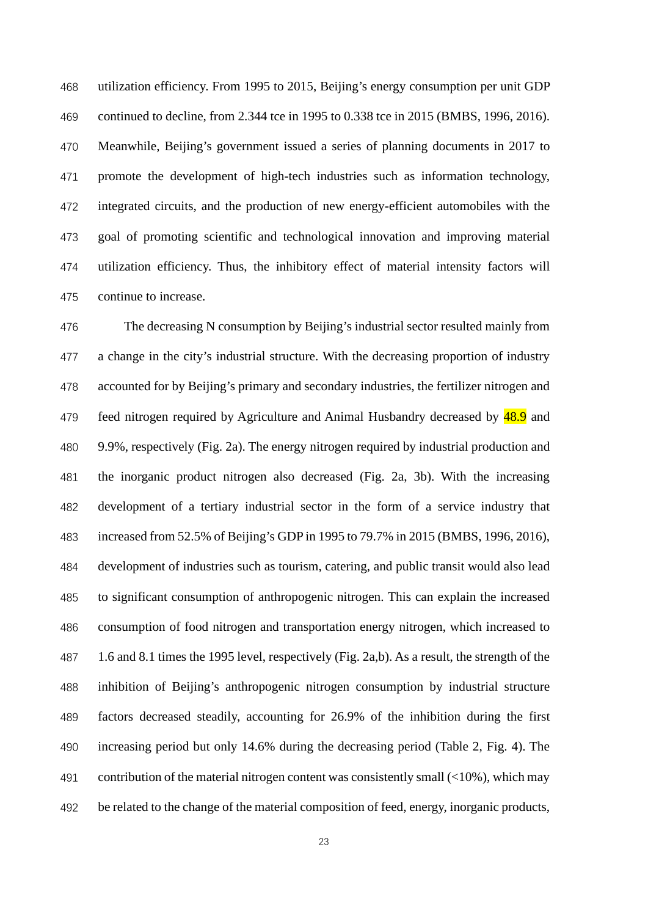utilization efficiency. From 1995 to 2015, Beijing's energy consumption per unit GDP continued to decline, from 2.344 tce in 1995 to 0.338 tce in 2015 (BMBS, 1996, 2016). Meanwhile, Beijing's government issued a series of planning documents in 2017 to promote the development of high-tech industries such as information technology, integrated circuits, and the production of new energy-efficient automobiles with the goal of promoting scientific and technological innovation and improving material utilization efficiency. Thus, the inhibitory effect of material intensity factors will continue to increase.

 The decreasing N consumption by Beijing's industrial sector resulted mainly from a change in the city's industrial structure. With the decreasing proportion of industry accounted for by Beijing's primary and secondary industries, the fertilizer nitrogen and 479 feed nitrogen required by Agriculture and Animal Husbandry decreased by  $\frac{48.9}{48.9}$  and 9.9%, respectively (Fig. 2a). The energy nitrogen required by industrial production and the inorganic product nitrogen also decreased (Fig. 2a, 3b). With the increasing development of a tertiary industrial sector in the form of a service industry that increased from 52.5% of Beijing's GDP in 1995 to 79.7% in 2015 (BMBS, 1996, 2016), development of industries such as tourism, catering, and public transit would also lead to significant consumption of anthropogenic nitrogen. This can explain the increased consumption of food nitrogen and transportation energy nitrogen, which increased to 1.6 and 8.1 times the 1995 level, respectively (Fig. 2a,b). As a result, the strength of the inhibition of Beijing's anthropogenic nitrogen consumption by industrial structure factors decreased steadily, accounting for 26.9% of the inhibition during the first increasing period but only 14.6% during the decreasing period (Table 2, Fig. 4). The 491 contribution of the material nitrogen content was consistently small  $\left($ <10%), which may be related to the change of the material composition of feed, energy, inorganic products,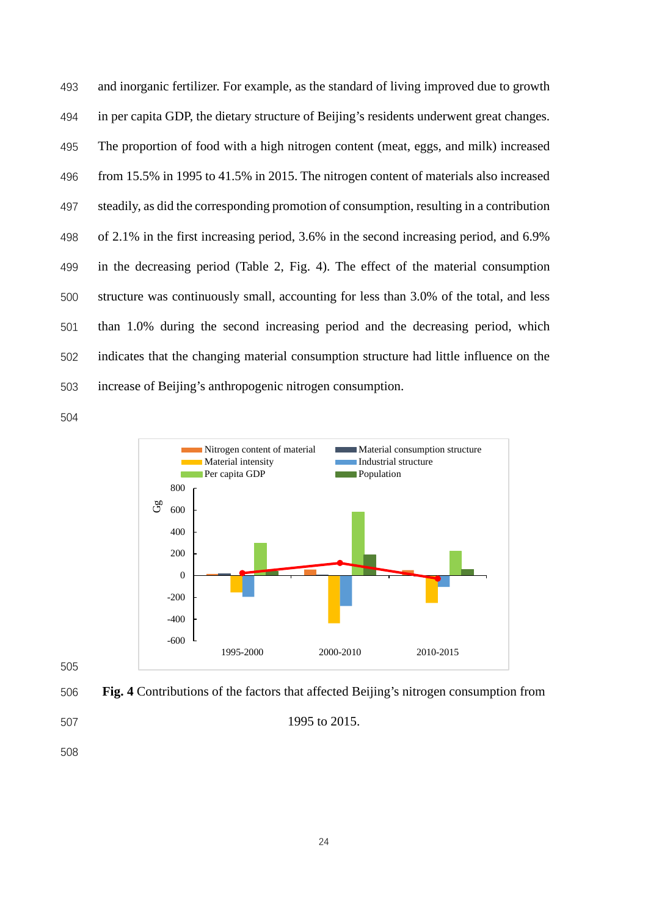and inorganic fertilizer. For example, as the standard of living improved due to growth in per capita GDP, the dietary structure of Beijing's residents underwent great changes. The proportion of food with a high nitrogen content (meat, eggs, and milk) increased from 15.5% in 1995 to 41.5% in 2015. The nitrogen content of materials also increased steadily, as did the corresponding promotion of consumption, resulting in a contribution of 2.1% in the first increasing period, 3.6% in the second increasing period, and 6.9% in the decreasing period (Table 2, Fig. 4). The effect of the material consumption structure was continuously small, accounting for less than 3.0% of the total, and less than 1.0% during the second increasing period and the decreasing period, which indicates that the changing material consumption structure had little influence on the increase of Beijing's anthropogenic nitrogen consumption.





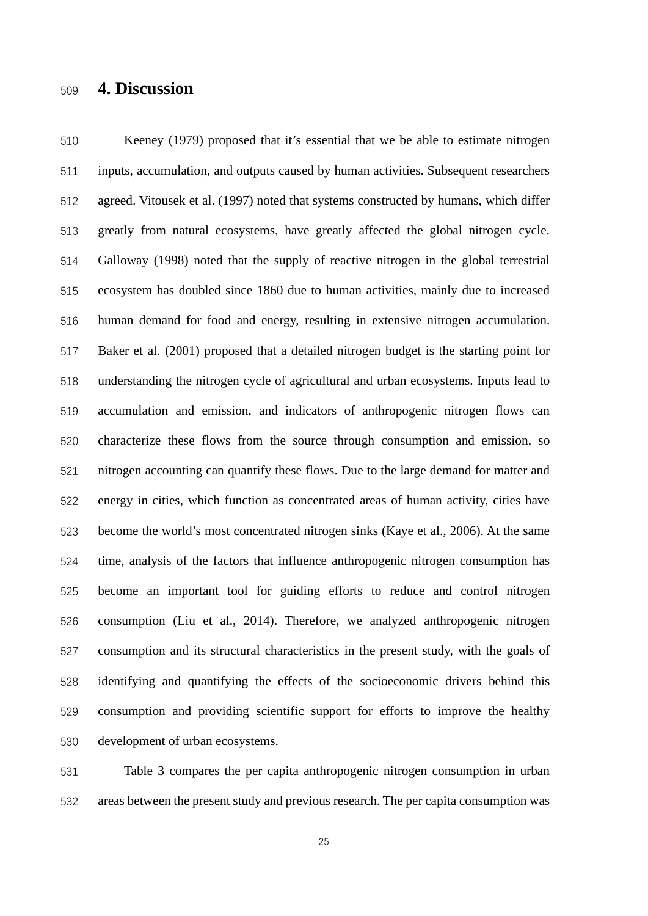# **4. Discussion**

 Keeney (1979) proposed that it's essential that we be able to estimate nitrogen inputs, accumulation, and outputs caused by human activities. Subsequent researchers agreed. Vitousek et al. (1997) noted that systems constructed by humans, which differ greatly from natural ecosystems, have greatly affected the global nitrogen cycle. Galloway (1998) noted that the supply of reactive nitrogen in the global terrestrial ecosystem has doubled since 1860 due to human activities, mainly due to increased human demand for food and energy, resulting in extensive nitrogen accumulation. Baker et al. (2001) proposed that a detailed nitrogen budget is the starting point for understanding the nitrogen cycle of agricultural and urban ecosystems. Inputs lead to accumulation and emission, and indicators of anthropogenic nitrogen flows can characterize these flows from the source through consumption and emission, so nitrogen accounting can quantify these flows. Due to the large demand for matter and energy in cities, which function as concentrated areas of human activity, cities have become the world's most concentrated nitrogen sinks (Kaye et al., 2006). At the same time, analysis of the factors that influence anthropogenic nitrogen consumption has become an important tool for guiding efforts to reduce and control nitrogen consumption (Liu et al., 2014). Therefore, we analyzed anthropogenic nitrogen consumption and its structural characteristics in the present study, with the goals of identifying and quantifying the effects of the socioeconomic drivers behind this consumption and providing scientific support for efforts to improve the healthy development of urban ecosystems.

 Table 3 compares the per capita anthropogenic nitrogen consumption in urban areas between the present study and previous research. The per capita consumption was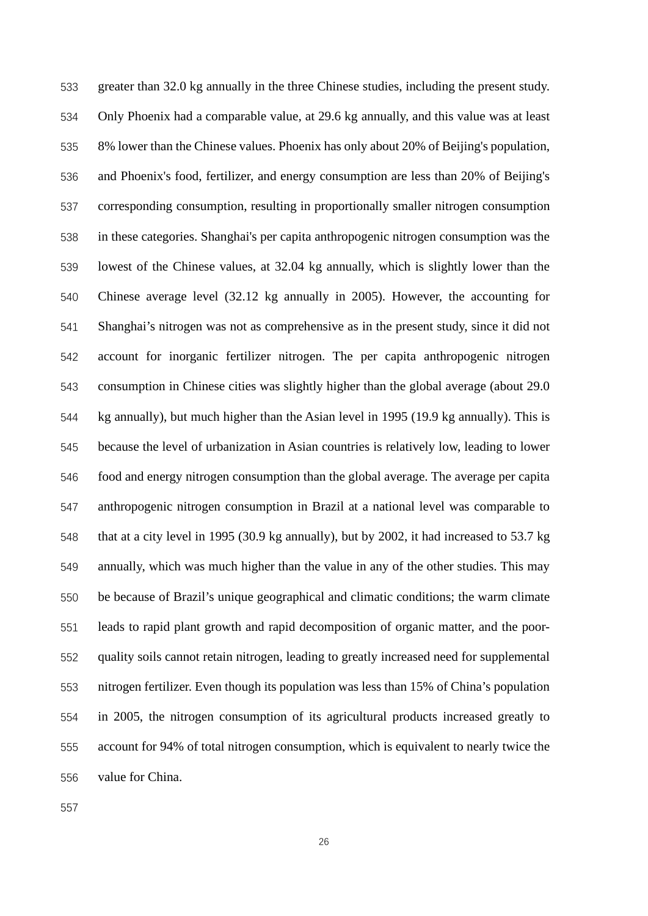greater than 32.0 kg annually in the three Chinese studies, including the present study. Only Phoenix had a comparable value, at 29.6 kg annually, and this value was at least 8% lower than the Chinese values. Phoenix has only about 20% of Beijing's population, and Phoenix's food, fertilizer, and energy consumption are less than 20% of Beijing's corresponding consumption, resulting in proportionally smaller nitrogen consumption in these categories. Shanghai's per capita anthropogenic nitrogen consumption was the lowest of the Chinese values, at 32.04 kg annually, which is slightly lower than the Chinese average level (32.12 kg annually in 2005). However, the accounting for Shanghai's nitrogen was not as comprehensive as in the present study, since it did not account for inorganic fertilizer nitrogen. The per capita anthropogenic nitrogen consumption in Chinese cities was slightly higher than the global average (about 29.0 kg annually), but much higher than the Asian level in 1995 (19.9 kg annually). This is because the level of urbanization in Asian countries is relatively low, leading to lower food and energy nitrogen consumption than the global average. The average per capita anthropogenic nitrogen consumption in Brazil at a national level was comparable to that at a city level in 1995 (30.9 kg annually), but by 2002, it had increased to 53.7 kg annually, which was much higher than the value in any of the other studies. This may be because of Brazil's unique geographical and climatic conditions; the warm climate leads to rapid plant growth and rapid decomposition of organic matter, and the poor- quality soils cannot retain nitrogen, leading to greatly increased need for supplemental nitrogen fertilizer. Even though its population was less than 15% of China's population in 2005, the nitrogen consumption of its agricultural products increased greatly to account for 94% of total nitrogen consumption, which is equivalent to nearly twice the value for China.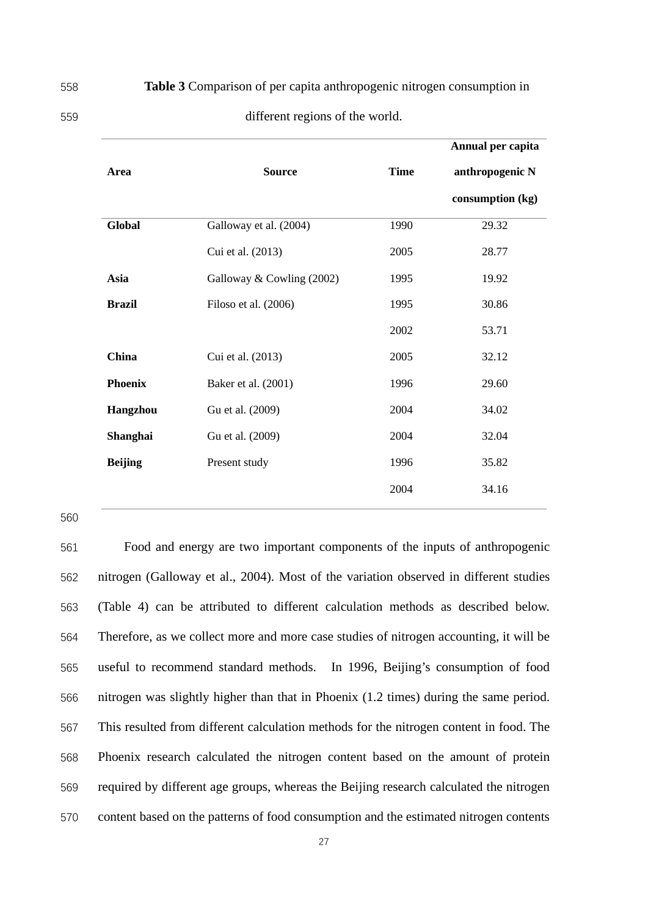|                |                           |             | Annual per capita |
|----------------|---------------------------|-------------|-------------------|
| Area           | <b>Source</b>             | <b>Time</b> | anthropogenic N   |
|                |                           |             | consumption (kg)  |
| Global         | Galloway et al. (2004)    | 1990        | 29.32             |
|                | Cui et al. (2013)         | 2005        | 28.77             |
| Asia           | Galloway & Cowling (2002) | 1995        | 19.92             |
| <b>Brazil</b>  | Filoso et al. (2006)      | 1995        | 30.86             |
|                |                           | 2002        | 53.71             |
| China          | Cui et al. (2013)         | 2005        | 32.12             |
| <b>Phoenix</b> | Baker et al. (2001)       | 1996        | 29.60             |
| Hangzhou       | Gu et al. (2009)          | 2004        | 34.02             |
| Shanghai       | Gu et al. (2009)          | 2004        | 32.04             |
| <b>Beijing</b> | Present study             | 1996        | 35.82             |
|                |                           | 2004        | 34.16             |

558 **Table 3** Comparison of per capita anthropogenic nitrogen consumption in

| ., | ۰. |  |
|----|----|--|
| ×. |    |  |
|    |    |  |

#### different regions of the world.

560

 Food and energy are two important components of the inputs of anthropogenic nitrogen (Galloway et al., 2004). Most of the variation observed in different studies (Table 4) can be attributed to different calculation methods as described below. Therefore, as we collect more and more case studies of nitrogen accounting, it will be useful to recommend standard methods. In 1996, Beijing's consumption of food nitrogen was slightly higher than that in Phoenix (1.2 times) during the same period. This resulted from different calculation methods for the nitrogen content in food. The Phoenix research calculated the nitrogen content based on the amount of protein required by different age groups, whereas the Beijing research calculated the nitrogen content based on the patterns of food consumption and the estimated nitrogen contents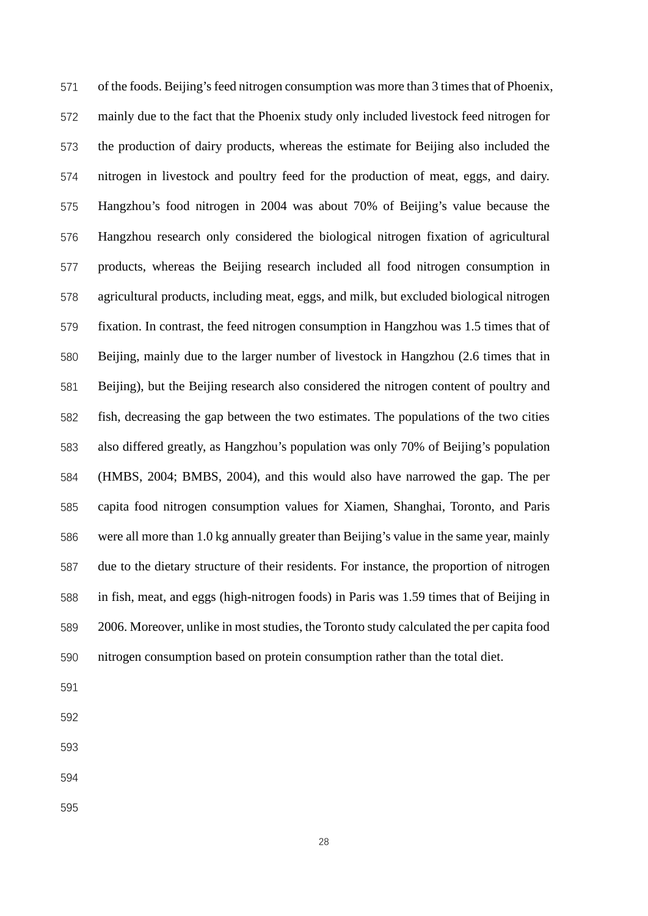of the foods. Beijing's feed nitrogen consumption was more than 3 times that of Phoenix, mainly due to the fact that the Phoenix study only included livestock feed nitrogen for the production of dairy products, whereas the estimate for Beijing also included the nitrogen in livestock and poultry feed for the production of meat, eggs, and dairy. Hangzhou's food nitrogen in 2004 was about 70% of Beijing's value because the Hangzhou research only considered the biological nitrogen fixation of agricultural products, whereas the Beijing research included all food nitrogen consumption in agricultural products, including meat, eggs, and milk, but excluded biological nitrogen fixation. In contrast, the feed nitrogen consumption in Hangzhou was 1.5 times that of Beijing, mainly due to the larger number of livestock in Hangzhou (2.6 times that in Beijing), but the Beijing research also considered the nitrogen content of poultry and fish, decreasing the gap between the two estimates. The populations of the two cities also differed greatly, as Hangzhou's population was only 70% of Beijing's population (HMBS, 2004; BMBS, 2004), and this would also have narrowed the gap. The per capita food nitrogen consumption values for Xiamen, Shanghai, Toronto, and Paris were all more than 1.0 kg annually greater than Beijing's value in the same year, mainly due to the dietary structure of their residents. For instance, the proportion of nitrogen in fish, meat, and eggs (high-nitrogen foods) in Paris was 1.59 times that of Beijing in 2006. Moreover, unlike in most studies, the Toronto study calculated the per capita food nitrogen consumption based on protein consumption rather than the total diet.

- 
- 
- 
- 
-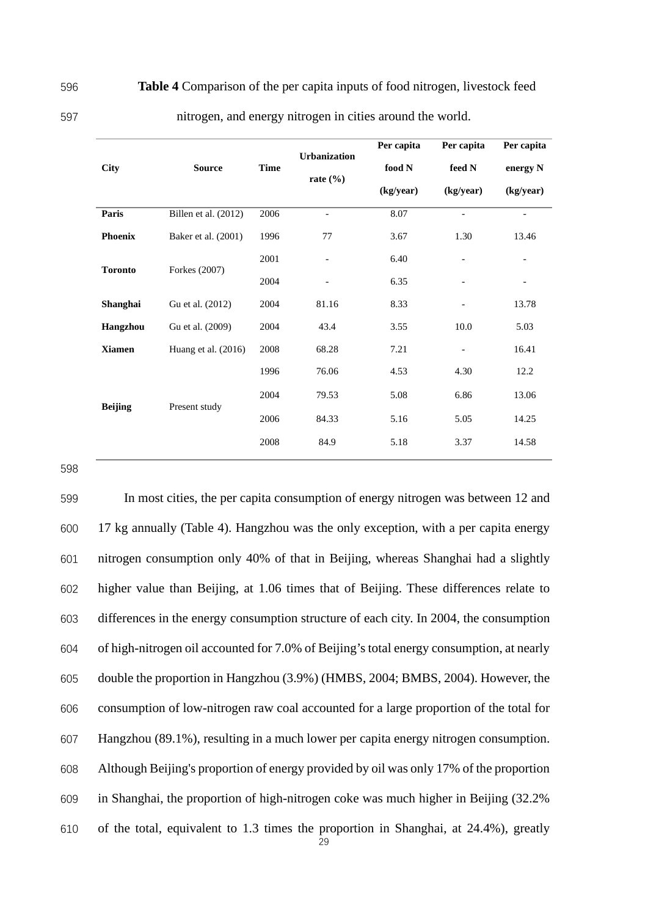596 **Table 4** Comparison of the per capita inputs of food nitrogen, livestock feed

597 nitrogen, and energy nitrogen in cities around the world.

|                |                       |             | <b>Urbanization</b>      | Per capita | Per capita                     | Per capita               |
|----------------|-----------------------|-------------|--------------------------|------------|--------------------------------|--------------------------|
| <b>City</b>    | <b>Source</b>         | <b>Time</b> |                          | food N     | $\boldsymbol{\mathsf{feed}}$ N | energy N                 |
|                |                       |             | rate $(\% )$             | (kg/year)  | (kg/year)                      | (kg/year)                |
| Paris          | Billen et al. (2012)  | 2006        | $\overline{\phantom{a}}$ | 8.07       | $\qquad \qquad \blacksquare$   | $\overline{\phantom{m}}$ |
| <b>Phoenix</b> | Baker et al. (2001)   | 1996        | 77                       | 3.67       | 1.30                           | 13.46                    |
|                | Forkes (2007)         | 2001        |                          | 6.40       | $\overline{\phantom{a}}$       |                          |
| <b>Toronto</b> |                       | 2004        | $\overline{\phantom{a}}$ | 6.35       | $\overline{\phantom{a}}$       | $\overline{\phantom{a}}$ |
| Shanghai       | Gu et al. (2012)      | 2004        | 81.16                    | 8.33       | $\qquad \qquad -$              | 13.78                    |
| Hangzhou       | Gu et al. (2009)      | 2004        | 43.4                     | 3.55       | 10.0                           | 5.03                     |
| <b>Xiamen</b>  | Huang et al. $(2016)$ | 2008        | 68.28                    | 7.21       | $\qquad \qquad -$              | 16.41                    |
|                |                       | 1996        | 76.06                    | 4.53       | 4.30                           | 12.2                     |
|                | Present study         | 2004        | 79.53                    | 5.08       | 6.86                           | 13.06                    |
| <b>Beijing</b> |                       | 2006        | 84.33                    | 5.16       | 5.05                           | 14.25                    |
|                |                       | 2008        | 84.9                     | 5.18       | 3.37                           | 14.58                    |
|                |                       |             |                          |            |                                |                          |

598

 In most cities, the per capita consumption of energy nitrogen was between 12 and 17 kg annually (Table 4). Hangzhou was the only exception, with a per capita energy nitrogen consumption only 40% of that in Beijing, whereas Shanghai had a slightly higher value than Beijing, at 1.06 times that of Beijing. These differences relate to differences in the energy consumption structure of each city. In 2004, the consumption of high-nitrogen oil accounted for 7.0% of Beijing's total energy consumption, at nearly double the proportion in Hangzhou (3.9%) (HMBS, 2004; BMBS, 2004). However, the consumption of low-nitrogen raw coal accounted for a large proportion of the total for Hangzhou (89.1%), resulting in a much lower per capita energy nitrogen consumption. Although Beijing's proportion of energy provided by oil was only 17% of the proportion in Shanghai, the proportion of high-nitrogen coke was much higher in Beijing (32.2% of the total, equivalent to 1.3 times the proportion in Shanghai, at 24.4%), greatly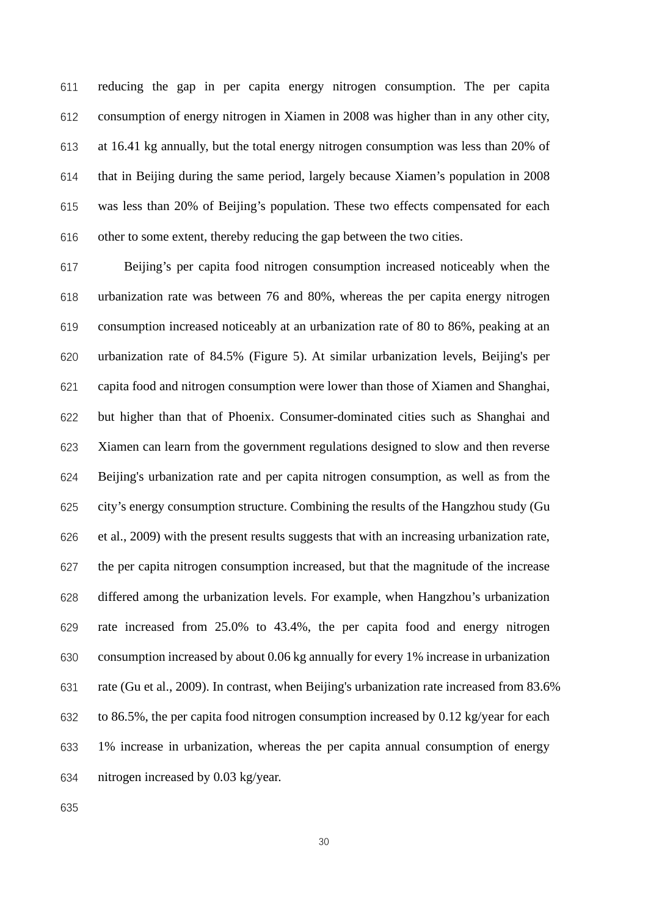reducing the gap in per capita energy nitrogen consumption. The per capita consumption of energy nitrogen in Xiamen in 2008 was higher than in any other city, at 16.41 kg annually, but the total energy nitrogen consumption was less than 20% of that in Beijing during the same period, largely because Xiamen's population in 2008 was less than 20% of Beijing's population. These two effects compensated for each other to some extent, thereby reducing the gap between the two cities.

 Beijing's per capita food nitrogen consumption increased noticeably when the urbanization rate was between 76 and 80%, whereas the per capita energy nitrogen consumption increased noticeably at an urbanization rate of 80 to 86%, peaking at an urbanization rate of 84.5% (Figure 5). At similar urbanization levels, Beijing's per capita food and nitrogen consumption were lower than those of Xiamen and Shanghai, but higher than that of Phoenix. Consumer-dominated cities such as Shanghai and Xiamen can learn from the government regulations designed to slow and then reverse Beijing's urbanization rate and per capita nitrogen consumption, as well as from the city's energy consumption structure. Combining the results of the Hangzhou study (Gu et al., 2009) with the present results suggests that with an increasing urbanization rate, the per capita nitrogen consumption increased, but that the magnitude of the increase differed among the urbanization levels. For example, when Hangzhou's urbanization rate increased from 25.0% to 43.4%, the per capita food and energy nitrogen consumption increased by about 0.06 kg annually for every 1% increase in urbanization rate (Gu et al., 2009). In contrast, when Beijing's urbanization rate increased from 83.6% to 86.5%, the per capita food nitrogen consumption increased by 0.12 kg/year for each 1% increase in urbanization, whereas the per capita annual consumption of energy nitrogen increased by 0.03 kg/year.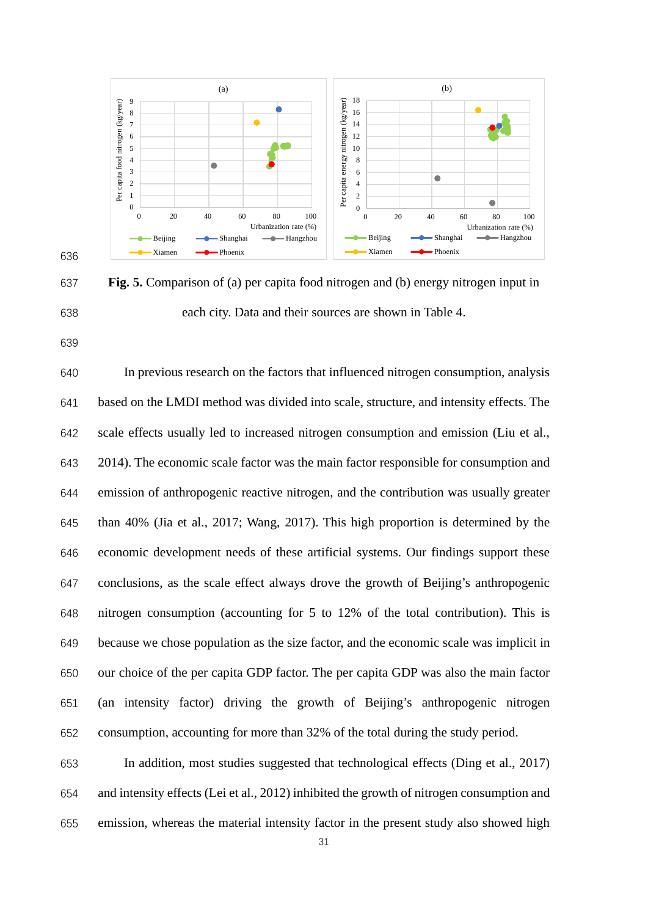

 **Fig. 5.** Comparison of (a) per capita food nitrogen and (b) energy nitrogen input in each city. Data and their sources are shown in Table 4.

 In previous research on the factors that influenced nitrogen consumption, analysis based on the LMDI method was divided into scale, structure, and intensity effects. The scale effects usually led to increased nitrogen consumption and emission (Liu et al., 2014). The economic scale factor was the main factor responsible for consumption and emission of anthropogenic reactive nitrogen, and the contribution was usually greater than 40% (Jia et al., 2017; Wang, 2017). This high proportion is determined by the economic development needs of these artificial systems. Our findings support these conclusions, as the scale effect always drove the growth of Beijing's anthropogenic nitrogen consumption (accounting for 5 to 12% of the total contribution). This is because we chose population as the size factor, and the economic scale was implicit in our choice of the per capita GDP factor. The per capita GDP was also the main factor (an intensity factor) driving the growth of Beijing's anthropogenic nitrogen consumption, accounting for more than 32% of the total during the study period.

 In addition, most studies suggested that technological effects (Ding et al., 2017) and intensity effects (Lei et al., 2012) inhibited the growth of nitrogen consumption and emission, whereas the material intensity factor in the present study also showed high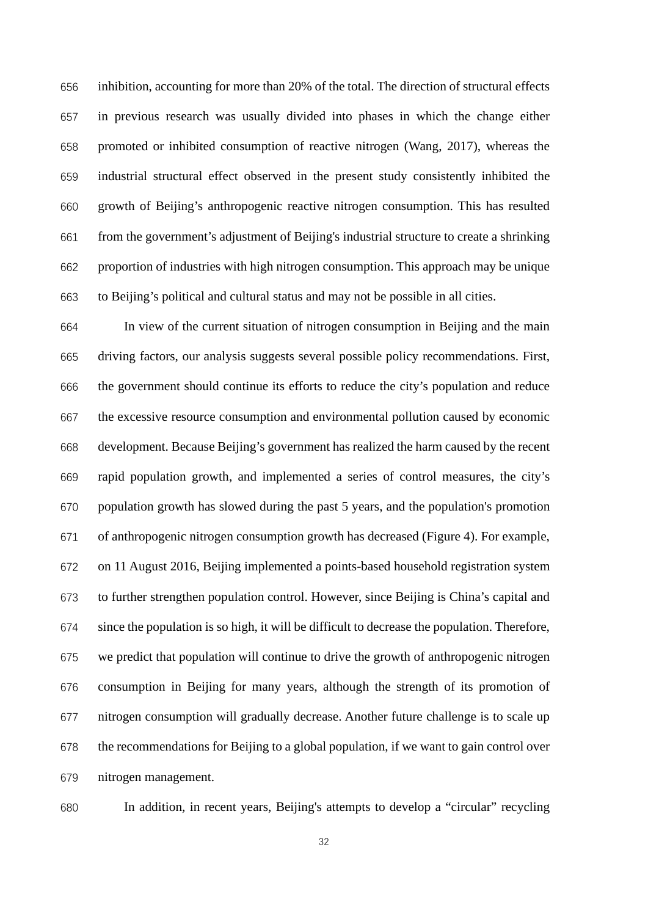inhibition, accounting for more than 20% of the total. The direction of structural effects in previous research was usually divided into phases in which the change either promoted or inhibited consumption of reactive nitrogen (Wang, 2017), whereas the industrial structural effect observed in the present study consistently inhibited the growth of Beijing's anthropogenic reactive nitrogen consumption. This has resulted from the government's adjustment of Beijing's industrial structure to create a shrinking proportion of industries with high nitrogen consumption. This approach may be unique to Beijing's political and cultural status and may not be possible in all cities.

 In view of the current situation of nitrogen consumption in Beijing and the main driving factors, our analysis suggests several possible policy recommendations. First, the government should continue its efforts to reduce the city's population and reduce the excessive resource consumption and environmental pollution caused by economic development. Because Beijing's government has realized the harm caused by the recent rapid population growth, and implemented a series of control measures, the city's population growth has slowed during the past 5 years, and the population's promotion of anthropogenic nitrogen consumption growth has decreased (Figure 4). For example, on 11 August 2016, Beijing implemented a points-based household registration system to further strengthen population control. However, since Beijing is China's capital and since the population is so high, it will be difficult to decrease the population. Therefore, we predict that population will continue to drive the growth of anthropogenic nitrogen consumption in Beijing for many years, although the strength of its promotion of nitrogen consumption will gradually decrease. Another future challenge is to scale up the recommendations for Beijing to a global population, if we want to gain control over nitrogen management.

In addition, in recent years, Beijing's attempts to develop a "circular" recycling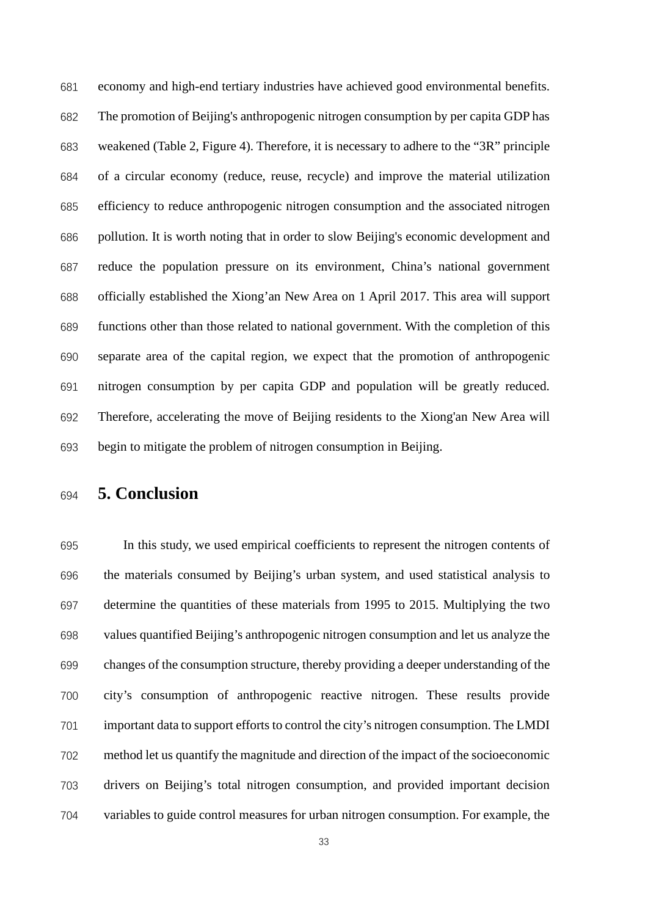economy and high-end tertiary industries have achieved good environmental benefits. The promotion of Beijing's anthropogenic nitrogen consumption by per capita GDP has weakened (Table 2, Figure 4). Therefore, it is necessary to adhere to the "3R" principle of a circular economy (reduce, reuse, recycle) and improve the material utilization efficiency to reduce anthropogenic nitrogen consumption and the associated nitrogen pollution. It is worth noting that in order to slow Beijing's economic development and reduce the population pressure on its environment, China's national government officially established the Xiong'an New Area on 1 April 2017. This area will support functions other than those related to national government. With the completion of this separate area of the capital region, we expect that the promotion of anthropogenic nitrogen consumption by per capita GDP and population will be greatly reduced. Therefore, accelerating the move of Beijing residents to the Xiong'an New Area will begin to mitigate the problem of nitrogen consumption in Beijing.

# **5. Conclusion**

 In this study, we used empirical coefficients to represent the nitrogen contents of the materials consumed by Beijing's urban system, and used statistical analysis to determine the quantities of these materials from 1995 to 2015. Multiplying the two values quantified Beijing's anthropogenic nitrogen consumption and let us analyze the changes of the consumption structure, thereby providing a deeper understanding of the city's consumption of anthropogenic reactive nitrogen. These results provide important data to support efforts to control the city's nitrogen consumption. The LMDI method let us quantify the magnitude and direction of the impact of the socioeconomic drivers on Beijing's total nitrogen consumption, and provided important decision variables to guide control measures for urban nitrogen consumption. For example, the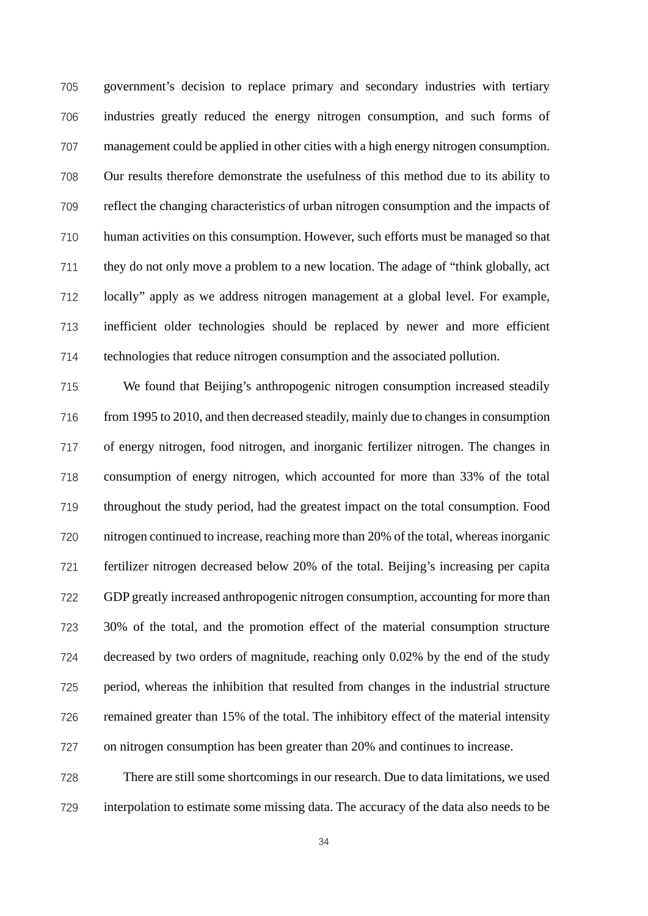government's decision to replace primary and secondary industries with tertiary industries greatly reduced the energy nitrogen consumption, and such forms of management could be applied in other cities with a high energy nitrogen consumption. Our results therefore demonstrate the usefulness of this method due to its ability to reflect the changing characteristics of urban nitrogen consumption and the impacts of human activities on this consumption. However, such efforts must be managed so that they do not only move a problem to a new location. The adage of "think globally, act locally" apply as we address nitrogen management at a global level. For example, inefficient older technologies should be replaced by newer and more efficient technologies that reduce nitrogen consumption and the associated pollution.

 We found that Beijing's anthropogenic nitrogen consumption increased steadily from 1995 to 2010, and then decreased steadily, mainly due to changes in consumption of energy nitrogen, food nitrogen, and inorganic fertilizer nitrogen. The changes in consumption of energy nitrogen, which accounted for more than 33% of the total throughout the study period, had the greatest impact on the total consumption. Food nitrogen continued to increase, reaching more than 20% of the total, whereas inorganic fertilizer nitrogen decreased below 20% of the total. Beijing's increasing per capita GDP greatly increased anthropogenic nitrogen consumption, accounting for more than 30% of the total, and the promotion effect of the material consumption structure decreased by two orders of magnitude, reaching only 0.02% by the end of the study period, whereas the inhibition that resulted from changes in the industrial structure remained greater than 15% of the total. The inhibitory effect of the material intensity on nitrogen consumption has been greater than 20% and continues to increase.

 There are still some shortcomings in our research. Due to data limitations, we used interpolation to estimate some missing data. The accuracy of the data also needs to be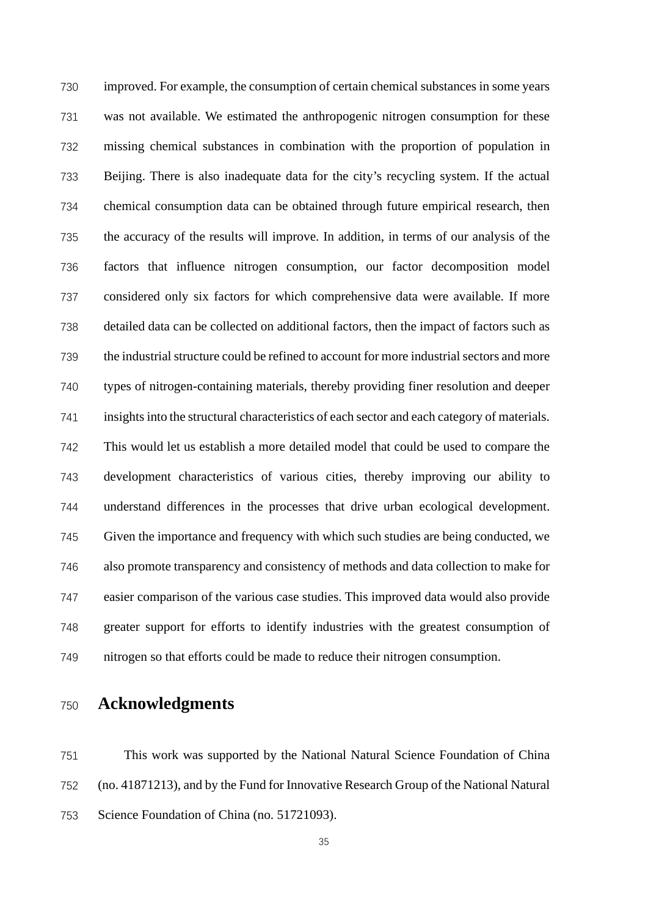improved. For example, the consumption of certain chemical substances in some years was not available. We estimated the anthropogenic nitrogen consumption for these missing chemical substances in combination with the proportion of population in Beijing. There is also inadequate data for the city's recycling system. If the actual chemical consumption data can be obtained through future empirical research, then the accuracy of the results will improve. In addition, in terms of our analysis of the factors that influence nitrogen consumption, our factor decomposition model considered only six factors for which comprehensive data were available. If more detailed data can be collected on additional factors, then the impact of factors such as the industrial structure could be refined to account for more industrial sectors and more types of nitrogen-containing materials, thereby providing finer resolution and deeper insights into the structural characteristics of each sector and each category of materials. This would let us establish a more detailed model that could be used to compare the development characteristics of various cities, thereby improving our ability to understand differences in the processes that drive urban ecological development. Given the importance and frequency with which such studies are being conducted, we also promote transparency and consistency of methods and data collection to make for easier comparison of the various case studies. This improved data would also provide greater support for efforts to identify industries with the greatest consumption of nitrogen so that efforts could be made to reduce their nitrogen consumption.

**Acknowledgments**

 This work was supported by the National Natural Science Foundation of China (no. 41871213), and by the Fund for Innovative Research Group of the National Natural Science Foundation of China (no. 51721093).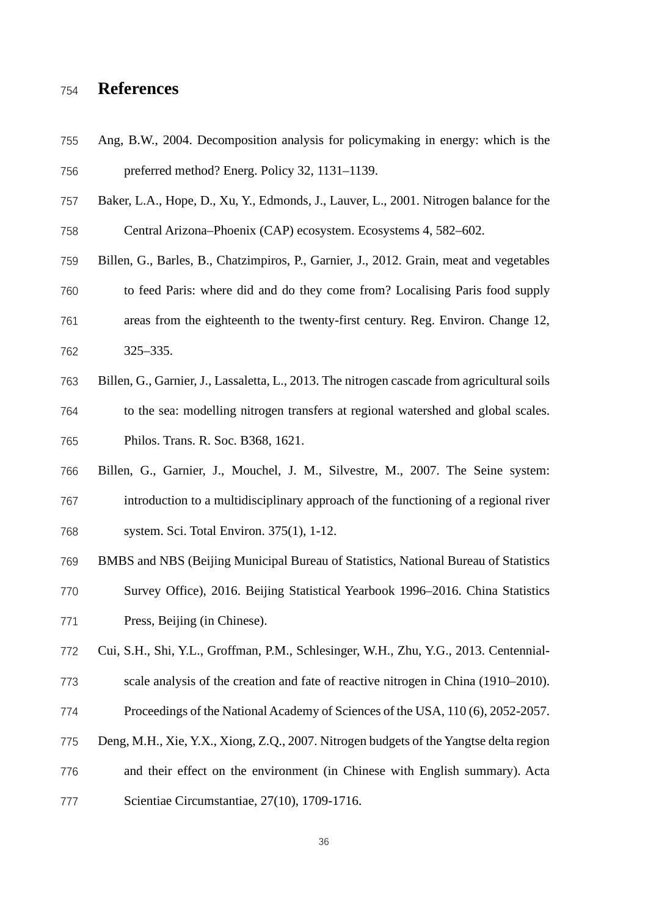# **References**

- Ang, B.W., 2004. Decomposition analysis for policymaking in energy: which is the preferred method? Energ. Policy 32, 1131–1139.
- Baker, L.A., Hope, D., Xu, Y., Edmonds, J., Lauver, L., 2001. Nitrogen balance for the Central Arizona–Phoenix (CAP) ecosystem. Ecosystems 4, 582–602.
- Billen, G., Barles, B., Chatzimpiros, P., Garnier, J., 2012. Grain, meat and vegetables to feed Paris: where did and do they come from? Localising Paris food supply areas from the eighteenth to the twenty-first century. Reg. Environ. Change 12, 325–335.
- Billen, G., Garnier, J., Lassaletta, L., 2013. The nitrogen cascade from agricultural soils to the sea: modelling nitrogen transfers at regional watershed and global scales. Philos. Trans. R. Soc. B368, 1621.
- Billen, G., Garnier, J., Mouchel, J. M., Silvestre, M., 2007. The Seine system: introduction to a multidisciplinary approach of the functioning of a regional river system. Sci. Total Environ. 375(1), 1-12.
- BMBS and NBS (Beijing Municipal Bureau of Statistics, National Bureau of Statistics Survey Office), 2016. Beijing Statistical Yearbook 1996–2016. China Statistics
- Press, Beijing (in Chinese).

Cui, S.H., Shi, Y.L., Groffman, P.M., Schlesinger, W.H., Zhu, Y.G., 2013. Centennial-

- scale analysis of the creation and fate of reactive nitrogen in China (1910–2010).
- Proceedings of the National Academy of Sciences of the USA, 110 (6), 2052-2057.
- Deng, M.H., Xie, Y.X., Xiong, Z.Q., 2007. Nitrogen budgets of the Yangtse delta region
- and their effect on the environment (in Chinese with English summary). Acta
- Scientiae Circumstantiae, 27(10), 1709-1716.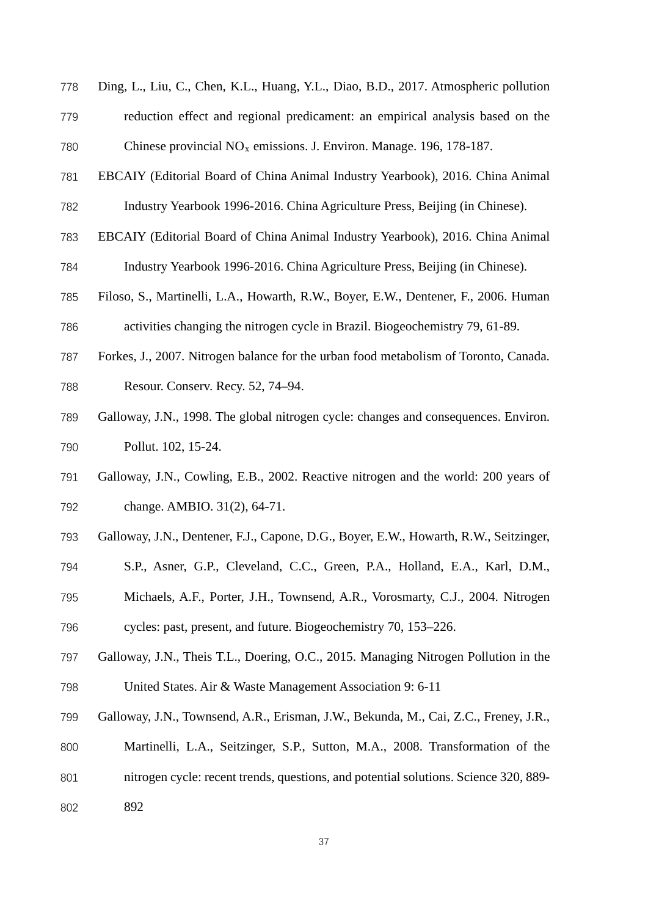- Ding, L., Liu, C., Chen, K.L., Huang, Y.L., Diao, B.D., 2017. Atmospheric pollution reduction effect and regional predicament: an empirical analysis based on the 780 Chinese provincial  $NO<sub>x</sub>$  emissions. J. Environ. Manage. 196, 178-187.
- EBCAIY (Editorial Board of China Animal Industry Yearbook), 2016. China Animal Industry Yearbook 1996-2016. China Agriculture Press, Beijing (in Chinese).
- EBCAIY (Editorial Board of China Animal Industry Yearbook), 2016. China Animal
- Industry Yearbook 1996-2016. China Agriculture Press, Beijing (in Chinese).
- Filoso, S., Martinelli, L.A., Howarth, R.W., Boyer, E.W., Dentener, F., 2006. Human activities changing the nitrogen cycle in Brazil. Biogeochemistry 79, 61-89.
- Forkes, J., 2007. Nitrogen balance for the urban food metabolism of Toronto, Canada. Resour. Conserv. Recy. 52, 74–94.
- Galloway, J.N., 1998. The global nitrogen cycle: changes and consequences. Environ. Pollut. 102, 15-24.
- Galloway, J.N., Cowling, E.B., 2002. Reactive nitrogen and the world: 200 years of change. AMBIO. 31(2), 64-71.
- Galloway, J.N., Dentener, F.J., Capone, D.G., Boyer, E.W., Howarth, R.W., Seitzinger,
- S.P., Asner, G.P., Cleveland, C.C., Green, P.A., Holland, E.A., Karl, D.M.,
- Michaels, A.F., Porter, J.H., Townsend, A.R., Vorosmarty, C.J., 2004. Nitrogen
- cycles: past, present, and future. Biogeochemistry 70, 153–226.
- Galloway, J.N., Theis T.L., Doering, O.C., 2015. Managing Nitrogen Pollution in the United States. Air & Waste Management Association 9: 6-11
- Galloway, J.N., Townsend, A.R., Erisman, J.W., Bekunda, M., Cai, Z.C., Freney, J.R.,
- Martinelli, L.A., Seitzinger, S.P., Sutton, M.A., 2008. Transformation of the
- nitrogen cycle: recent trends, questions, and potential solutions. Science 320, 889-
- 892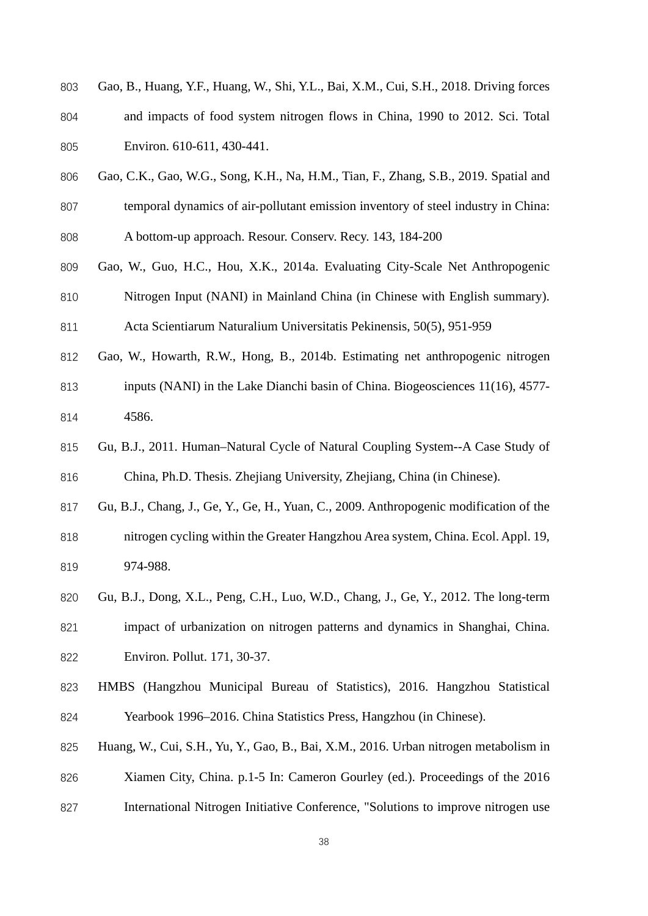| 803 | Gao, B., Huang, Y.F., Huang, W., Shi, Y.L., Bai, X.M., Cui, S.H., 2018. Driving forces |
|-----|----------------------------------------------------------------------------------------|
| 804 | and impacts of food system nitrogen flows in China, 1990 to 2012. Sci. Total           |
| 805 | Environ. 610-611, 430-441.                                                             |

- Gao, C.K., Gao, W.G., Song, K.H., Na, H.M., Tian, F., Zhang, S.B., 2019. Spatial and temporal dynamics of air-pollutant emission inventory of steel industry in China: A bottom-up approach. Resour. Conserv. Recy. 143, 184-200
- Gao, W., Guo, H.C., Hou, X.K., 2014a. Evaluating City-Scale Net Anthropogenic Nitrogen Input (NANI) in Mainland China (in Chinese with English summary). Acta Scientiarum Naturalium Universitatis Pekinensis, 50(5), 951-959
- Gao, W., Howarth, R.W., Hong, B., 2014b. Estimating net anthropogenic nitrogen inputs (NANI) in the Lake Dianchi basin of China. Biogeosciences 11(16), 4577- 4586.
- Gu, B.J., 2011. Human–Natural Cycle of Natural Coupling System--A Case Study of China, Ph.D. Thesis. Zhejiang University, Zhejiang, China (in Chinese).
- Gu, B.J., Chang, J., Ge, Y., Ge, H., Yuan, C., 2009. Anthropogenic modification of the
- nitrogen cycling within the Greater Hangzhou Area system, China. Ecol. Appl. 19, 974-988.
- Gu, B.J., Dong, X.L., Peng, C.H., Luo, W.D., Chang, J., Ge, Y., 2012. The long-term impact of urbanization on nitrogen patterns and dynamics in Shanghai, China. Environ. Pollut. 171, 30-37.
- HMBS (Hangzhou Municipal Bureau of Statistics), 2016. Hangzhou Statistical Yearbook 1996–2016. China Statistics Press, Hangzhou (in Chinese).
- Huang, W., Cui, S.H., Yu, Y., Gao, B., Bai, X.M., 2016. Urban nitrogen metabolism in Xiamen City, China. p.1-5 In: Cameron Gourley (ed.). Proceedings of the 2016 International Nitrogen Initiative Conference, "Solutions to improve nitrogen use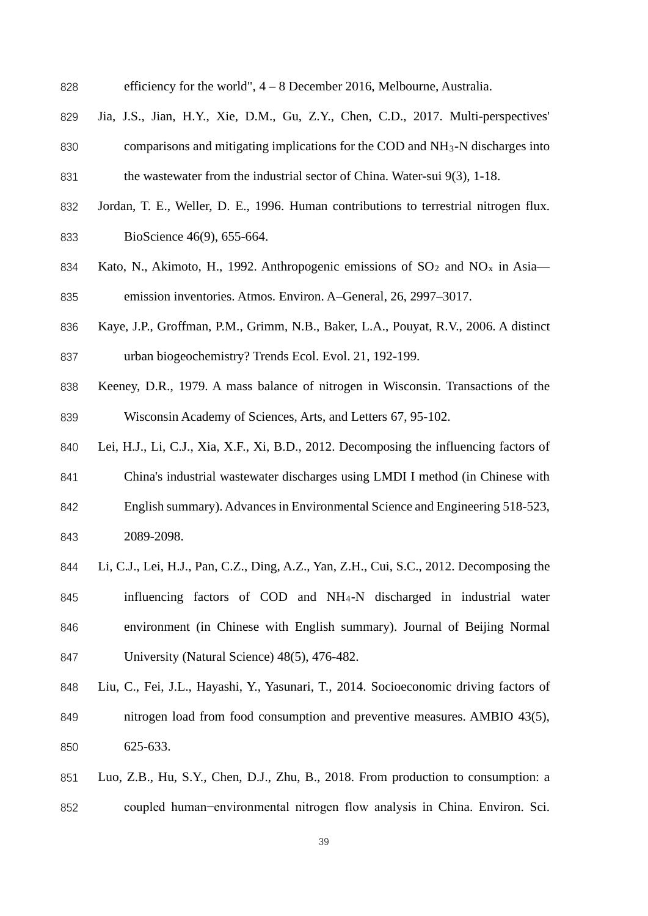| 828 |  | efficiency for the world", $4 - 8$ December 2016, Melbourne, Australia. |  |  |  |  |  |
|-----|--|-------------------------------------------------------------------------|--|--|--|--|--|
|-----|--|-------------------------------------------------------------------------|--|--|--|--|--|

- Jia, J.S., Jian, H.Y., Xie, D.M., Gu, Z.Y., Chen, C.D., 2017. Multi-perspectives' 830 comparisons and mitigating implications for the COD and  $NH<sub>3</sub>$ -N discharges into the wastewater from the industrial sector of China. Water-sui 9(3), 1-18.
- Jordan, T. E., Weller, D. E., 1996. Human contributions to terrestrial nitrogen flux. BioScience 46(9), 655-664.
- 834 Kato, N., Akimoto, H., 1992. Anthropogenic emissions of  $SO_2$  and  $NO_x$  in Asia— emission inventories. Atmos. Environ. A–General, 26, 2997–3017.
- Kaye, J.P., Groffman, P.M., Grimm, N.B., Baker, L.A., Pouyat, R.V., 2006. A distinct urban biogeochemistry? Trends Ecol. Evol. 21, 192-199.
- Keeney, D.R., 1979. A mass balance of nitrogen in Wisconsin. Transactions of the Wisconsin Academy of Sciences, Arts, and Letters 67, 95-102.
- Lei, H.J., Li, C.J., Xia, X.F., Xi, B.D., 2012. Decomposing the influencing factors of China's industrial wastewater discharges using LMDI I method (in Chinese with English summary). Advances in Environmental Science and Engineering 518-523, 2089-2098.
- 
- Li, C.J., Lei, H.J., Pan, C.Z., Ding, A.Z., Yan, Z.H., Cui, S.C., 2012. Decomposing the influencing factors of COD and NH4-N discharged in industrial water environment (in Chinese with English summary). Journal of Beijing Normal University (Natural Science) 48(5), 476-482.
- Liu, C., Fei, J.L., Hayashi, Y., Yasunari, T., 2014. Socioeconomic driving factors of nitrogen load from food consumption and preventive measures. AMBIO 43(5), 625-633.
- Luo, Z.B., Hu, S.Y., Chen, D.J., Zhu, B., 2018. From production to consumption: a coupled human−environmental nitrogen flow analysis in China. Environ. Sci.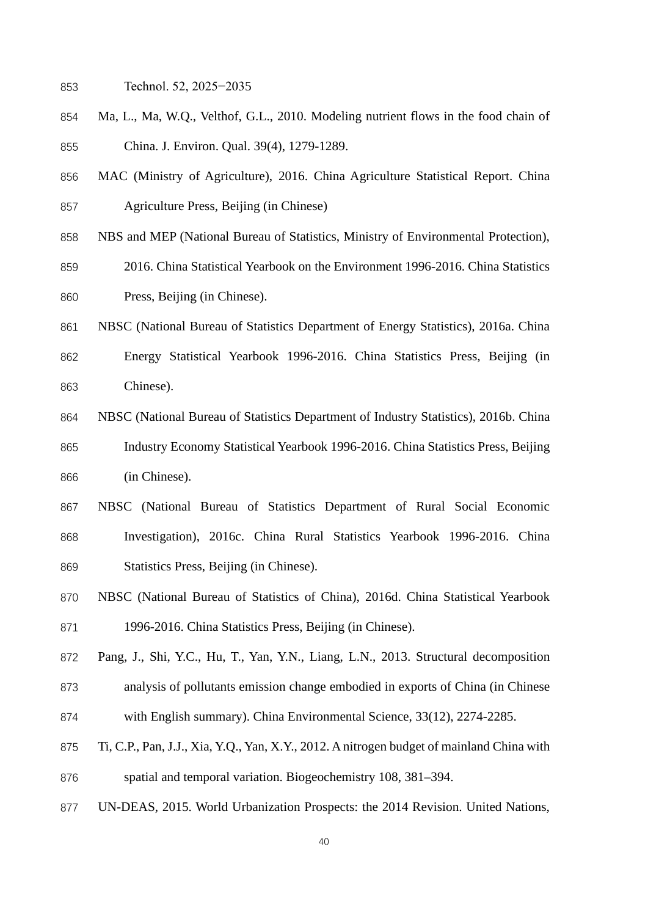- Technol. 52, 2025−2035
- Ma, L., Ma, W.Q., Velthof, G.L., 2010. Modeling nutrient flows in the food chain of China. J. Environ. Qual. 39(4), 1279-1289.
- MAC (Ministry of Agriculture), 2016. China Agriculture Statistical Report. China Agriculture Press, Beijing (in Chinese)
- NBS and MEP (National Bureau of Statistics, Ministry of Environmental Protection),
- 2016. China Statistical Yearbook on the Environment 1996-2016. China Statistics Press, Beijing (in Chinese).
- NBSC (National Bureau of Statistics Department of Energy Statistics), 2016a. China Energy Statistical Yearbook 1996-2016. China Statistics Press, Beijing (in Chinese).
- NBSC (National Bureau of Statistics Department of Industry Statistics), 2016b. China Industry Economy Statistical Yearbook 1996-2016. China Statistics Press, Beijing (in Chinese).
- NBSC (National Bureau of Statistics Department of Rural Social Economic Investigation), 2016c. China Rural Statistics Yearbook 1996-2016. China Statistics Press, Beijing (in Chinese).
- NBSC (National Bureau of Statistics of China), 2016d. China Statistical Yearbook 1996-2016. China Statistics Press, Beijing (in Chinese).
- Pang, J., Shi, Y.C., Hu, T., Yan, Y.N., Liang, L.N., 2013. Structural decomposition analysis of pollutants emission change embodied in exports of China (in Chinese with English summary). China Environmental Science, 33(12), 2274-2285.
- Ti, C.P., Pan, J.J., Xia, Y.Q., Yan, X.Y., 2012. A nitrogen budget of mainland China with spatial and temporal variation. Biogeochemistry 108, 381–394.
- UN-DEAS, 2015. World Urbanization Prospects: the 2014 Revision. United Nations,